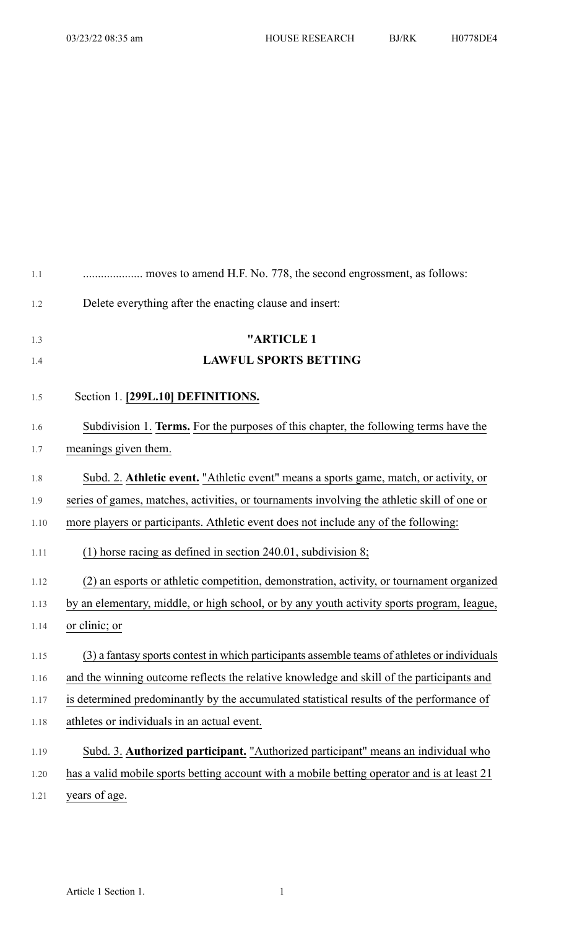| $1.1\,$ |                                                                                              |
|---------|----------------------------------------------------------------------------------------------|
| 1.2     | Delete everything after the enacting clause and insert:                                      |
| 1.3     | "ARTICLE 1                                                                                   |
| 1.4     | <b>LAWFUL SPORTS BETTING</b>                                                                 |
| 1.5     | Section 1. [299L.10] DEFINITIONS.                                                            |
| 1.6     | Subdivision 1. Terms. For the purposes of this chapter, the following terms have the         |
| 1.7     | meanings given them.                                                                         |
| $1.8\,$ | Subd. 2. Athletic event. "Athletic event" means a sports game, match, or activity, or        |
| 1.9     | series of games, matches, activities, or tournaments involving the athletic skill of one or  |
| 1.10    | more players or participants. Athletic event does not include any of the following:          |
| 1.11    | (1) horse racing as defined in section $240.01$ , subdivision 8;                             |
| 1.12    | (2) an esports or athletic competition, demonstration, activity, or tournament organized     |
| 1.13    | by an elementary, middle, or high school, or by any youth activity sports program, league,   |
| 1.14    | or clinic; or                                                                                |
| 1.15    | (3) a fantasy sports contest in which participants assemble teams of athletes or individuals |
| 1.16    | and the winning outcome reflects the relative knowledge and skill of the participants and    |
| 1.17    | is determined predominantly by the accumulated statistical results of the performance of     |
| 1.18    | athletes or individuals in an actual event.                                                  |
| 1.19    | Subd. 3. Authorized participant. "Authorized participant" means an individual who            |
| 1.20    | has a valid mobile sports betting account with a mobile betting operator and is at least 21  |
| 1.21    | years of age.                                                                                |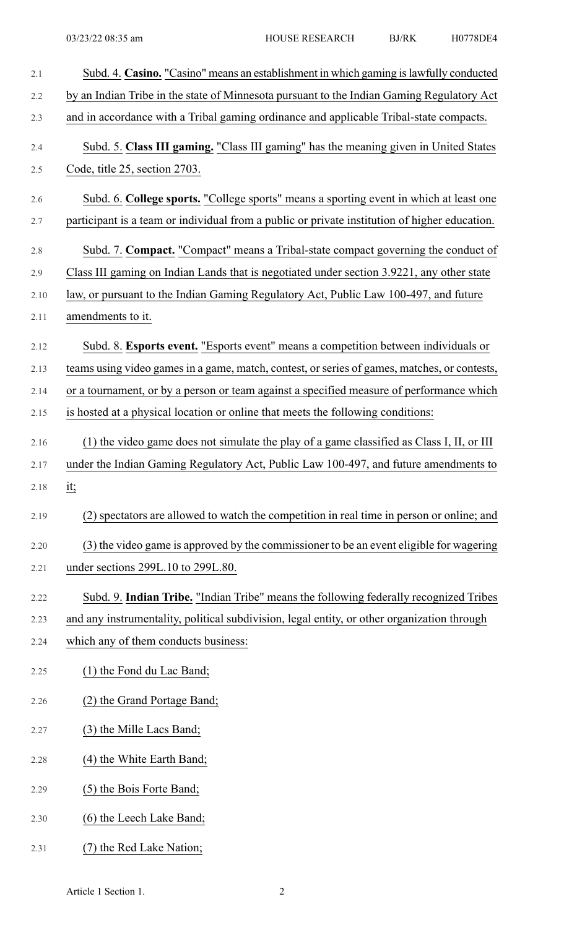| 2.1  | Subd. 4. Casino. "Casino" means an establishment in which gaming is lawfully conducted        |
|------|-----------------------------------------------------------------------------------------------|
| 2.2  | by an Indian Tribe in the state of Minnesota pursuant to the Indian Gaming Regulatory Act     |
| 2.3  | and in accordance with a Tribal gaming ordinance and applicable Tribal-state compacts.        |
| 2.4  | Subd. 5. Class III gaming. "Class III gaming" has the meaning given in United States          |
| 2.5  | Code, title 25, section 2703.                                                                 |
| 2.6  | Subd. 6. College sports. "College sports" means a sporting event in which at least one        |
| 2.7  | participant is a team or individual from a public or private institution of higher education. |
| 2.8  | Subd. 7. Compact. "Compact" means a Tribal-state compact governing the conduct of             |
| 2.9  | Class III gaming on Indian Lands that is negotiated under section 3.9221, any other state     |
| 2.10 | law, or pursuant to the Indian Gaming Regulatory Act, Public Law 100-497, and future          |
| 2.11 | amendments to it.                                                                             |
| 2.12 | Subd. 8. Esports event. "Esports event" means a competition between individuals or            |
| 2.13 | teams using video games in a game, match, contest, or series of games, matches, or contests,  |
| 2.14 | or a tournament, or by a person or team against a specified measure of performance which      |
| 2.15 | is hosted at a physical location or online that meets the following conditions:               |
| 2.16 | (1) the video game does not simulate the play of a game classified as Class I, II, or III     |
| 2.17 | under the Indian Gaming Regulatory Act, Public Law 100-497, and future amendments to          |
| 2.18 | <u>it;</u>                                                                                    |
| 2.19 | (2) spectators are allowed to watch the competition in real time in person or online; and     |
| 2.20 | (3) the video game is approved by the commissioner to be an event eligible for wagering       |
| 2.21 | under sections 299L.10 to 299L.80.                                                            |
| 2.22 | Subd. 9. Indian Tribe. "Indian Tribe" means the following federally recognized Tribes         |
| 2.23 | and any instrumentality, political subdivision, legal entity, or other organization through   |
| 2.24 | which any of them conducts business:                                                          |
| 2.25 | (1) the Fond du Lac Band;                                                                     |
| 2.26 | (2) the Grand Portage Band;                                                                   |
| 2.27 | (3) the Mille Lacs Band;                                                                      |
| 2.28 | (4) the White Earth Band;                                                                     |
| 2.29 | (5) the Bois Forte Band;                                                                      |
| 2.30 | (6) the Leech Lake Band;                                                                      |
| 2.31 | (7) the Red Lake Nation;                                                                      |

Article 1 Section 1. 2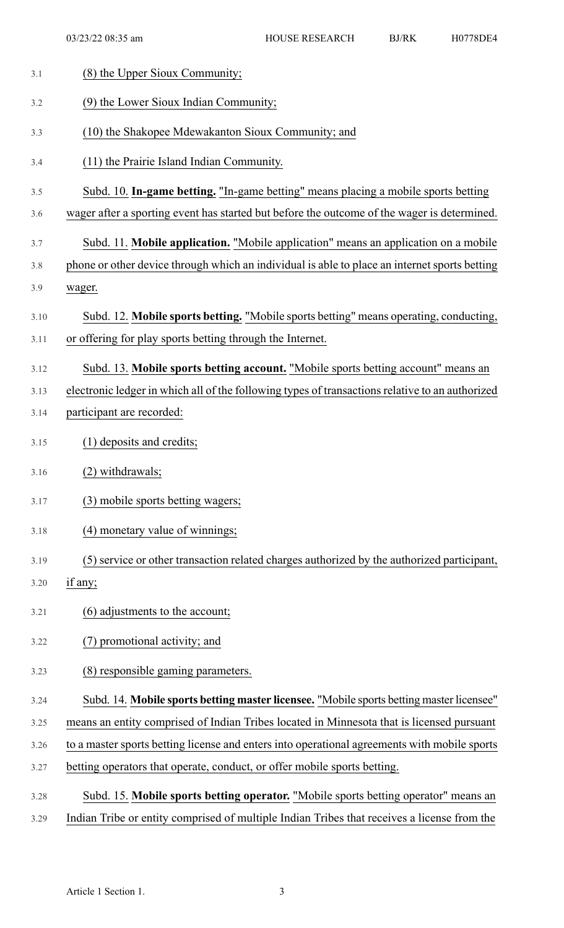| 3.1  | (8) the Upper Sioux Community;                                                                  |
|------|-------------------------------------------------------------------------------------------------|
| 3.2  | (9) the Lower Sioux Indian Community;                                                           |
| 3.3  | (10) the Shakopee Mdewakanton Sioux Community; and                                              |
| 3.4  | (11) the Prairie Island Indian Community.                                                       |
| 3.5  | Subd. 10. In-game betting. "In-game betting" means placing a mobile sports betting              |
| 3.6  | wager after a sporting event has started but before the outcome of the wager is determined.     |
| 3.7  | Subd. 11. Mobile application. "Mobile application" means an application on a mobile             |
| 3.8  | phone or other device through which an individual is able to place an internet sports betting   |
| 3.9  | wager.                                                                                          |
| 3.10 | Subd. 12. Mobile sports betting. "Mobile sports betting" means operating, conducting,           |
| 3.11 | or offering for play sports betting through the Internet.                                       |
| 3.12 | Subd. 13. Mobile sports betting account. "Mobile sports betting account" means an               |
| 3.13 | electronic ledger in which all of the following types of transactions relative to an authorized |
| 3.14 | participant are recorded:                                                                       |
| 3.15 | (1) deposits and credits;                                                                       |
| 3.16 | (2) withdrawals;                                                                                |
| 3.17 | (3) mobile sports betting wagers;                                                               |
| 3.18 | (4) monetary value of winnings;                                                                 |
| 3.19 | (5) service or other transaction related charges authorized by the authorized participant,      |
| 3.20 | if any;                                                                                         |
| 3.21 | (6) adjustments to the account;                                                                 |
| 3.22 | ) promotional activity; and                                                                     |
| 3.23 | (8) responsible gaming parameters.                                                              |
| 3.24 | Subd. 14. Mobile sports betting master licensee. "Mobile sports betting master licensee"        |
| 3.25 | means an entity comprised of Indian Tribes located in Minnesota that is licensed pursuant       |
| 3.26 | to a master sports betting license and enters into operational agreements with mobile sports    |
| 3.27 | betting operators that operate, conduct, or offer mobile sports betting.                        |
| 3.28 | Subd. 15. Mobile sports betting operator. "Mobile sports betting operator" means an             |
| 3.29 | Indian Tribe or entity comprised of multiple Indian Tribes that receives a license from the     |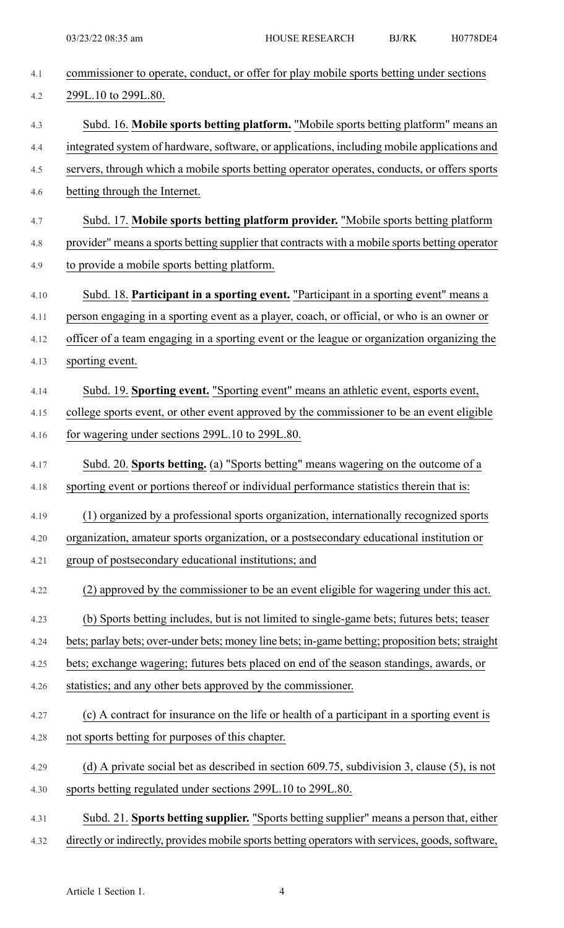| 4.1  | commissioner to operate, conduct, or offer for play mobile sports betting under sections         |
|------|--------------------------------------------------------------------------------------------------|
| 4.2  | 299L.10 to 299L.80.                                                                              |
| 4.3  | Subd. 16. Mobile sports betting platform. "Mobile sports betting platform" means an              |
| 4.4  | integrated system of hardware, software, or applications, including mobile applications and      |
| 4.5  | servers, through which a mobile sports betting operator operates, conducts, or offers sports     |
| 4.6  | betting through the Internet.                                                                    |
| 4.7  | Subd. 17. Mobile sports betting platform provider. "Mobile sports betting platform               |
| 4.8  | provider" means a sports betting supplier that contracts with a mobile sports betting operator   |
| 4.9  | to provide a mobile sports betting platform.                                                     |
| 4.10 | Subd. 18. Participant in a sporting event. "Participant in a sporting event" means a             |
| 4.11 | person engaging in a sporting event as a player, coach, or official, or who is an owner or       |
| 4.12 | officer of a team engaging in a sporting event or the league or organization organizing the      |
| 4.13 | sporting event.                                                                                  |
| 4.14 | Subd. 19. Sporting event. "Sporting event" means an athletic event, esports event,               |
| 4.15 | college sports event, or other event approved by the commissioner to be an event eligible        |
| 4.16 | for wagering under sections 299L.10 to 299L.80.                                                  |
| 4.17 | Subd. 20. Sports betting. (a) "Sports betting" means wagering on the outcome of a                |
| 4.18 | sporting event or portions thereof or individual performance statistics therein that is:         |
| 4.19 | (1) organized by a professional sports organization, internationally recognized sports           |
| 4.20 | organization, amateur sports organization, or a postsecondary educational institution or         |
| 4.21 | group of postsecondary educational institutions; and                                             |
| 4.22 | (2) approved by the commissioner to be an event eligible for wagering under this act.            |
| 4.23 | (b) Sports betting includes, but is not limited to single-game bets; futures bets; teaser        |
| 4.24 | bets; parlay bets; over-under bets; money line bets; in-game betting; proposition bets; straight |
| 4.25 | bets; exchange wagering; futures bets placed on end of the season standings, awards, or          |
| 4.26 | statistics; and any other bets approved by the commissioner.                                     |
| 4.27 | (c) A contract for insurance on the life or health of a participant in a sporting event is       |
| 4.28 | not sports betting for purposes of this chapter.                                                 |
| 4.29 | (d) A private social bet as described in section $609.75$ , subdivision 3, clause (5), is not    |
| 4.30 | sports betting regulated under sections 299L.10 to 299L.80.                                      |
| 4.31 | Subd. 21. Sports betting supplier. "Sports betting supplier" means a person that, either         |
| 4.32 | directly or indirectly, provides mobile sports betting operators with services, goods, software, |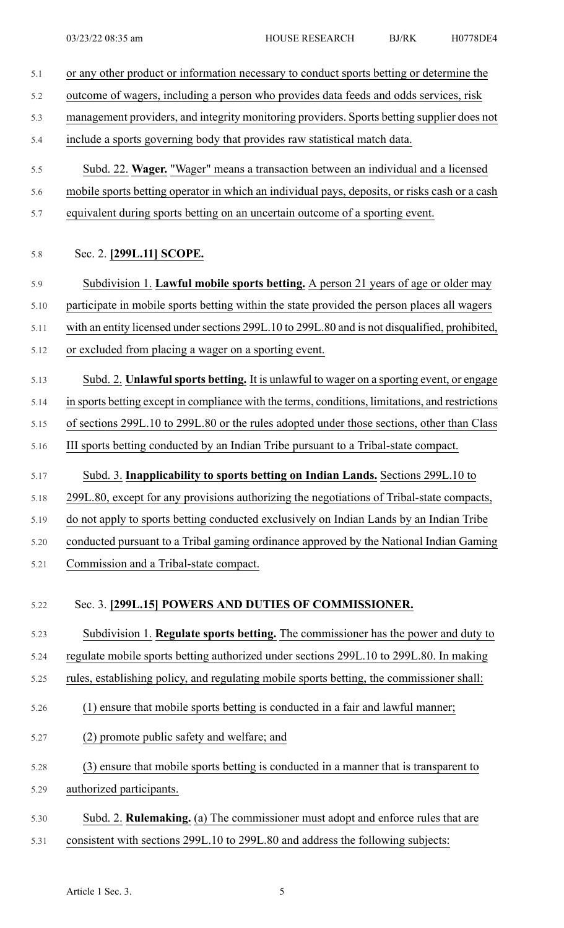- 5.1 or any other product or information necessary to conduct sports betting or determine the 5.2 outcome of wagers, including a person who provides data feeds and odds services, risk 5.3 management providers, and integrity monitoring providers. Sports betting supplier does not 5.4 include a sports governing body that provides raw statistical match data. 5.5 Subd. 22. **Wager.** "Wager" means a transaction between an individual and a licensed 5.6 mobile sports betting operator in which an individual pays, deposits, or risks cash or a cash 5.7 equivalent during sports betting on an uncertain outcome of a sporting event. 5.8 Sec. 2. **[299L.11] SCOPE.** 5.9 Subdivision 1. **Lawful mobile sports betting.** A person 21 years of age or older may 5.10 participate in mobile sports betting within the state provided the person places all wagers 5.11 with an entity licensed under sections 299L.10 to 299L.80 and is not disqualified, prohibited, 5.12 or excluded from placing a wager on a sporting event. 5.13 Subd. 2. **Unlawfulsports betting.** It is unlawful to wager on a sporting event, or engage 5.14 in sports betting except in compliance with the terms, conditions, limitations, and restrictions 5.15 of sections 299L.10 to 299L.80 or the rules adopted under those sections, other than Class 5.16 III sports betting conducted by an Indian Tribe pursuant to a Tribal-state compact. 5.17 Subd. 3. **Inapplicability to sports betting on Indian Lands.** Sections 299L.10 to 5.18 299L.80, except for any provisions authorizing the negotiations of Tribal-state compacts, 5.19 do not apply to sports betting conducted exclusively on Indian Lands by an Indian Tribe 5.20 conducted pursuant to a Tribal gaming ordinance approved by the National Indian Gaming 5.21 Commission and a Tribal-state compact. 5.22 Sec. 3. **[299L.15] POWERS AND DUTIES OF COMMISSIONER.** 5.23 Subdivision 1. **Regulate sports betting.** The commissioner has the power and duty to 5.24 regulate mobile sports betting authorized under sections 299L.10 to 299L.80. In making 5.25 rules, establishing policy, and regulating mobile sports betting, the commissioner shall: 5.26 (1) ensure that mobile sports betting is conducted in a fair and lawful manner; 5.27 (2) promote public safety and welfare; and 5.28 (3) ensure that mobile sports betting is conducted in a manner that is transparent to 5.29 authorized participants.
- 5.30 Subd. 2. **Rulemaking.** (a) The commissioner must adopt and enforce rules that are 5.31 consistent with sections 299L.10 to 299L.80 and address the following subjects: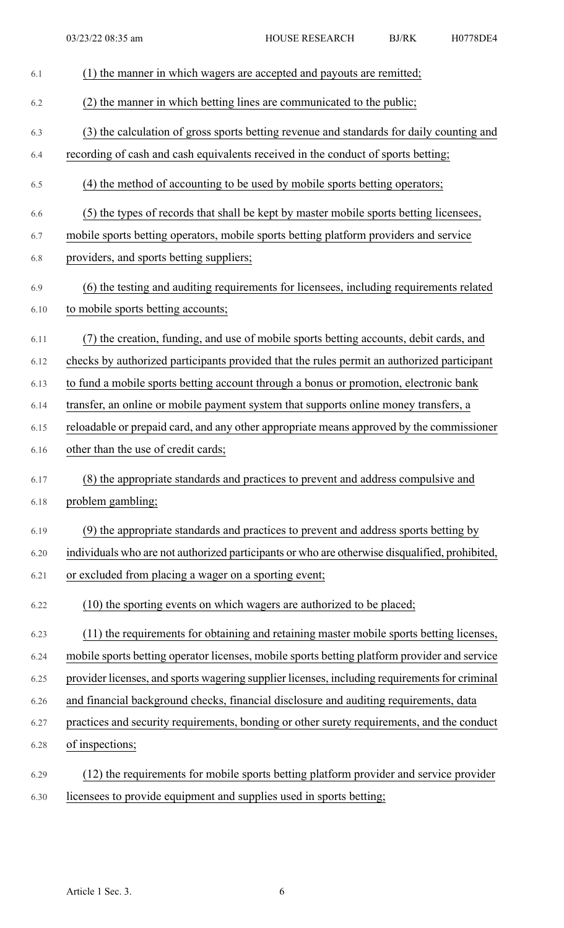| 6.1  | (1) the manner in which wagers are accepted and payouts are remitted;                          |
|------|------------------------------------------------------------------------------------------------|
| 6.2  | (2) the manner in which betting lines are communicated to the public;                          |
| 6.3  | (3) the calculation of gross sports betting revenue and standards for daily counting and       |
| 6.4  | recording of cash and cash equivalents received in the conduct of sports betting;              |
| 6.5  | (4) the method of accounting to be used by mobile sports betting operators;                    |
| 6.6  | (5) the types of records that shall be kept by master mobile sports betting licensees,         |
| 6.7  | mobile sports betting operators, mobile sports betting platform providers and service          |
| 6.8  | providers, and sports betting suppliers;                                                       |
| 6.9  | (6) the testing and auditing requirements for licensees, including requirements related        |
| 6.10 | to mobile sports betting accounts;                                                             |
| 6.11 | (7) the creation, funding, and use of mobile sports betting accounts, debit cards, and         |
| 6.12 | checks by authorized participants provided that the rules permit an authorized participant     |
| 6.13 | to fund a mobile sports betting account through a bonus or promotion, electronic bank          |
| 6.14 | transfer, an online or mobile payment system that supports online money transfers, a           |
| 6.15 | reloadable or prepaid card, and any other appropriate means approved by the commissioner       |
| 6.16 | other than the use of credit cards;                                                            |
| 6.17 | (8) the appropriate standards and practices to prevent and address compulsive and              |
| 6.18 | problem gambling;                                                                              |
| 6.19 | (9) the appropriate standards and practices to prevent and address sports betting by           |
| 6.20 | individuals who are not authorized participants or who are otherwise disqualified, prohibited, |
| 6.21 | or excluded from placing a wager on a sporting event;                                          |
| 6.22 | (10) the sporting events on which wagers are authorized to be placed;                          |
| 6.23 | (11) the requirements for obtaining and retaining master mobile sports betting licenses,       |
| 6.24 | mobile sports betting operator licenses, mobile sports betting platform provider and service   |
| 6.25 | provider licenses, and sports wagering supplier licenses, including requirements for criminal  |
| 6.26 | and financial background checks, financial disclosure and auditing requirements, data          |
| 6.27 | practices and security requirements, bonding or other surety requirements, and the conduct     |
| 6.28 | of inspections;                                                                                |
| 6.29 | (12) the requirements for mobile sports betting platform provider and service provider         |
| 6.30 | licensees to provide equipment and supplies used in sports betting;                            |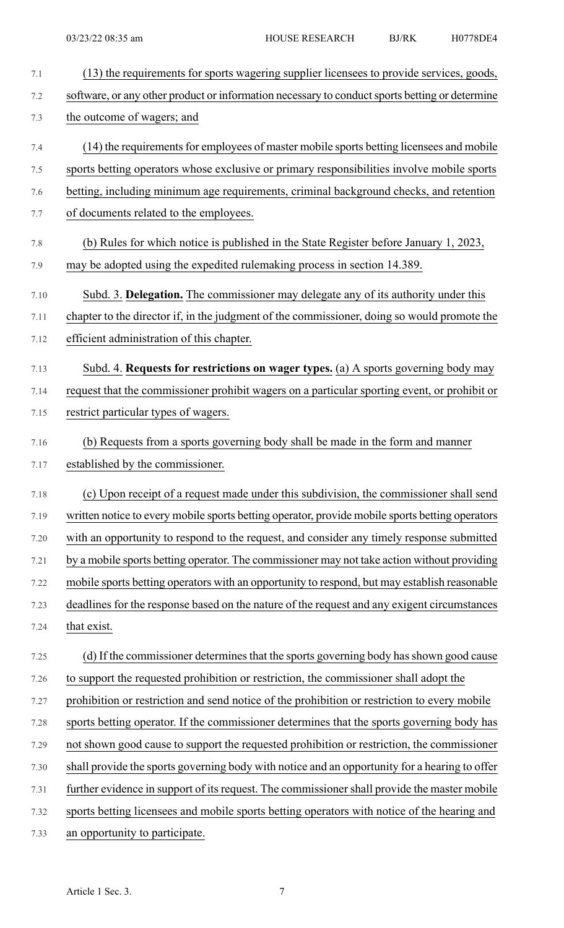| 7.1  | (13) the requirements for sports wagering supplier licensees to provide services, goods,        |
|------|-------------------------------------------------------------------------------------------------|
| 7.2  | software, or any other product or information necessary to conduct sports betting or determine  |
| 7.3  | the outcome of wagers; and                                                                      |
| 7.4  | (14) the requirements for employees of master mobile sports betting licensees and mobile        |
| 7.5  | sports betting operators whose exclusive or primary responsibilities involve mobile sports      |
| 7.6  | betting, including minimum age requirements, criminal background checks, and retention          |
| 7.7  | of documents related to the employees.                                                          |
| 7.8  | (b) Rules for which notice is published in the State Register before January 1, 2023,           |
| 7.9  | may be adopted using the expedited rulemaking process in section 14.389.                        |
| 7.10 | Subd. 3. Delegation. The commissioner may delegate any of its authority under this              |
| 7.11 | chapter to the director if, in the judgment of the commissioner, doing so would promote the     |
| 7.12 | efficient administration of this chapter.                                                       |
| 7.13 | Subd. 4. Requests for restrictions on wager types. (a) A sports governing body may              |
| 7.14 | request that the commissioner prohibit wagers on a particular sporting event, or prohibit or    |
| 7.15 | restrict particular types of wagers.                                                            |
| 7.16 | (b) Requests from a sports governing body shall be made in the form and manner                  |
| 7.17 | established by the commissioner.                                                                |
| 7.18 | (c) Upon receipt of a request made under this subdivision, the commissioner shall send          |
| 7.19 | written notice to every mobile sports betting operator, provide mobile sports betting operators |
| 7.20 | with an opportunity to respond to the request, and consider any timely response submitted       |
| 7.21 | by a mobile sports betting operator. The commissioner may not take action without providing     |
| 7.22 | mobile sports betting operators with an opportunity to respond, but may establish reasonable    |
| 7.23 | deadlines for the response based on the nature of the request and any exigent circumstances     |
| 7.24 | that exist.                                                                                     |
| 7.25 | (d) If the commissioner determines that the sports governing body has shown good cause          |
| 7.26 | to support the requested prohibition or restriction, the commissioner shall adopt the           |
| 7.27 | prohibition or restriction and send notice of the prohibition or restriction to every mobile    |
| 7.28 | sports betting operator. If the commissioner determines that the sports governing body has      |
| 7.29 | not shown good cause to support the requested prohibition or restriction, the commissioner      |
| 7.30 | shall provide the sports governing body with notice and an opportunity for a hearing to offer   |
| 7.31 | further evidence in support of its request. The commissioner shall provide the master mobile    |
| 7.32 | sports betting licensees and mobile sports betting operators with notice of the hearing and     |
| 7.33 | an opportunity to participate.                                                                  |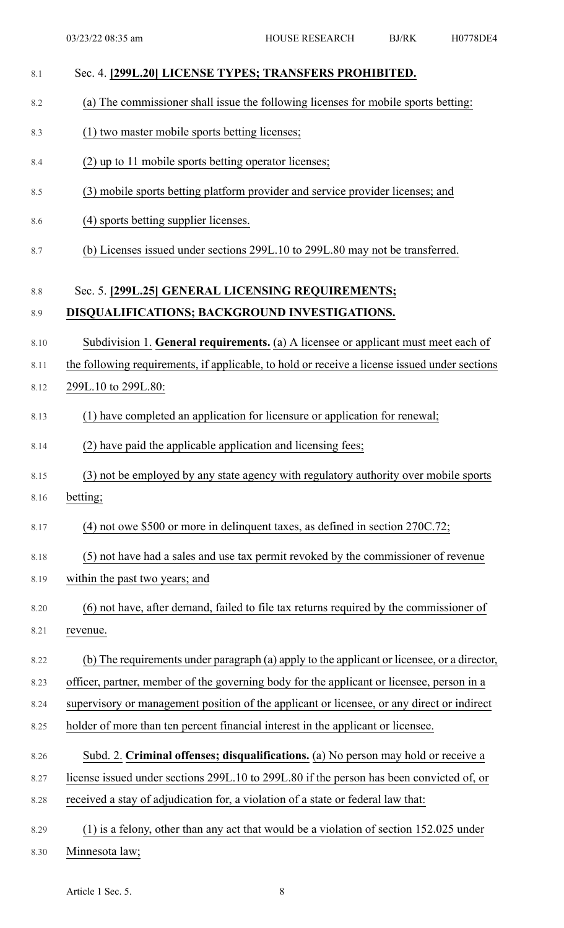| 8.1     | Sec. 4. [299L.20] LICENSE TYPES; TRANSFERS PROHIBITED.                                        |
|---------|-----------------------------------------------------------------------------------------------|
| 8.2     | (a) The commissioner shall issue the following licenses for mobile sports betting:            |
| 8.3     | (1) two master mobile sports betting licenses;                                                |
| 8.4     | (2) up to 11 mobile sports betting operator licenses;                                         |
| 8.5     | (3) mobile sports betting platform provider and service provider licenses; and                |
| 8.6     | (4) sports betting supplier licenses.                                                         |
| 8.7     | (b) Licenses issued under sections 299L.10 to 299L.80 may not be transferred.                 |
| $8.8\,$ | Sec. 5. [299L.25] GENERAL LICENSING REQUIREMENTS;                                             |
| 8.9     | DISQUALIFICATIONS; BACKGROUND INVESTIGATIONS.                                                 |
| 8.10    | Subdivision 1. General requirements. (a) A licensee or applicant must meet each of            |
| 8.11    | the following requirements, if applicable, to hold or receive a license issued under sections |
| 8.12    | 299L.10 to 299L.80:                                                                           |
| 8.13    | (1) have completed an application for licensure or application for renewal;                   |
| 8.14    | (2) have paid the applicable application and licensing fees;                                  |
| 8.15    | (3) not be employed by any state agency with regulatory authority over mobile sports          |
| 8.16    | betting;                                                                                      |
| 8.17    | $(4)$ not owe \$500 or more in delinquent taxes, as defined in section 270C.72;               |
| 8.18    | (5) not have had a sales and use tax permit revoked by the commissioner of revenue            |
| 8.19    | within the past two years; and                                                                |
| 8.20    | (6) not have, after demand, failed to file tax returns required by the commissioner of        |
| 8.21    | revenue.                                                                                      |
| 8.22    | (b) The requirements under paragraph (a) apply to the applicant or licensee, or a director,   |
| 8.23    | officer, partner, member of the governing body for the applicant or licensee, person in a     |
| 8.24    | supervisory or management position of the applicant or licensee, or any direct or indirect    |
| 8.25    | holder of more than ten percent financial interest in the applicant or licensee.              |
| 8.26    | Subd. 2. Criminal offenses; disqualifications. (a) No person may hold or receive a            |
| 8.27    | license issued under sections 299L.10 to 299L.80 if the person has been convicted of, or      |
| 8.28    | received a stay of adjudication for, a violation of a state or federal law that:              |
| 8.29    | $(1)$ is a felony, other than any act that would be a violation of section 152.025 under      |
| 8.30    | Minnesota law;                                                                                |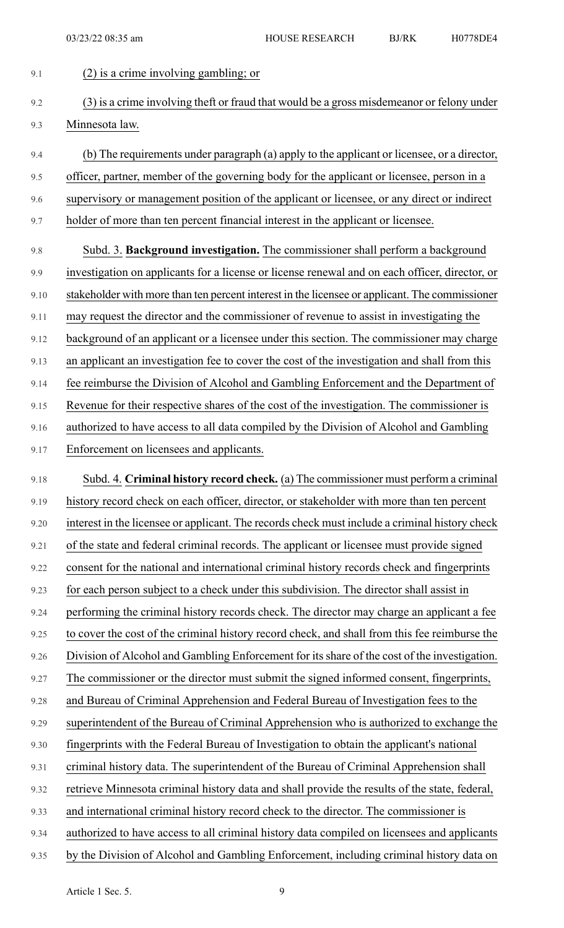9.1 (2) is a crime involving gambling; or

9.2 (3) is a crime involving theft or fraud that would be a gross misdemeanor or felony under 9.3 Minnesota law. 9.4 (b) The requirements under paragraph (a) apply to the applicant or licensee, or a director, 9.5 officer, partner, member of the governing body for the applicant or licensee, person in a 9.6 supervisory or management position of the applicant or licensee, or any direct or indirect 9.7 holder of more than ten percent financial interest in the applicant or licensee. 9.8 Subd. 3. **Background investigation.** The commissioner shall perform a background 9.9 investigation on applicants for a license or license renewal and on each officer, director, or 9.10 stakeholder with more than ten percent interest in the licensee or applicant. The commissioner 9.11 may request the director and the commissioner of revenue to assist in investigating the 9.12 background of an applicant or a licensee under this section. The commissioner may charge 9.13 an applicant an investigation fee to cover the cost of the investigation and shall from this 9.14 fee reimburse the Division of Alcohol and Gambling Enforcement and the Department of 9.15 Revenue for their respective shares of the cost of the investigation. The commissioner is 9.16 authorized to have access to all data compiled by the Division of Alcohol and Gambling 9.17 Enforcement on licensees and applicants. 9.18 Subd. 4. **Criminal history record check.** (a) The commissioner must perform a criminal 9.19 history record check on each officer, director, or stakeholder with more than ten percent 9.20 interest in the licensee or applicant. The records check must include a criminal history check 9.21 of the state and federal criminal records. The applicant or licensee must provide signed 9.22 consent for the national and international criminal history records check and fingerprints 9.23 for each person subject to a check under this subdivision. The director shall assist in 9.24 performing the criminal history records check. The director may charge an applicant a fee 9.25 to cover the cost of the criminal history record check, and shall from this fee reimburse the 9.26 Division of Alcohol and Gambling Enforcement for its share of the cost of the investigation. 9.27 The commissioner or the director must submit the signed informed consent, fingerprints, 9.28 and Bureau of Criminal Apprehension and Federal Bureau of Investigation fees to the 9.29 superintendent of the Bureau of Criminal Apprehension who is authorized to exchange the 9.30 fingerprints with the Federal Bureau of Investigation to obtain the applicant's national 9.31 criminal history data. The superintendent of the Bureau of Criminal Apprehension shall 9.32 retrieve Minnesota criminal history data and shall provide the results of the state, federal, 9.33 and international criminal history record check to the director. The commissioner is 9.34 authorized to have access to all criminal history data compiled on licensees and applicants 9.35 by the Division of Alcohol and Gambling Enforcement, including criminal history data on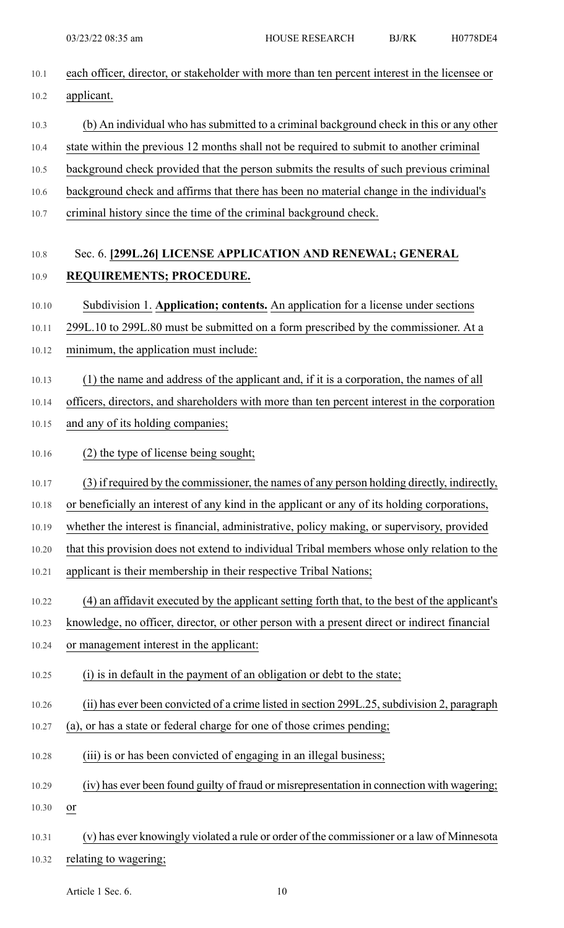| 10.1  | each officer, director, or stakeholder with more than ten percent interest in the licensee or |
|-------|-----------------------------------------------------------------------------------------------|
| 10.2  | applicant.                                                                                    |
| 10.3  | (b) An individual who has submitted to a criminal background check in this or any other       |
| 10.4  | state within the previous 12 months shall not be required to submit to another criminal       |
| 10.5  | background check provided that the person submits the results of such previous criminal       |
| 10.6  | background check and affirms that there has been no material change in the individual's       |
| 10.7  | criminal history since the time of the criminal background check.                             |
| 10.8  | Sec. 6. [299L.26] LICENSE APPLICATION AND RENEWAL; GENERAL                                    |
| 10.9  | REQUIREMENTS; PROCEDURE.                                                                      |
| 10.10 | Subdivision 1. Application; contents. An application for a license under sections             |
| 10.11 | 299L.10 to 299L.80 must be submitted on a form prescribed by the commissioner. At a           |
| 10.12 | minimum, the application must include:                                                        |
| 10.13 | (1) the name and address of the applicant and, if it is a corporation, the names of all       |
| 10.14 | officers, directors, and shareholders with more than ten percent interest in the corporation  |
| 10.15 | and any of its holding companies;                                                             |
| 10.16 | (2) the type of license being sought;                                                         |
| 10.17 | (3) if required by the commissioner, the names of any person holding directly, indirectly,    |
| 10.18 | or beneficially an interest of any kind in the applicant or any of its holding corporations,  |
| 10.19 | whether the interest is financial, administrative, policy making, or supervisory, provided    |
| 10.20 | that this provision does not extend to individual Tribal members whose only relation to the   |
| 10.21 | applicant is their membership in their respective Tribal Nations;                             |
| 10.22 | (4) an affidavit executed by the applicant setting forth that, to the best of the applicant's |
| 10.23 | knowledge, no officer, director, or other person with a present direct or indirect financial  |
| 10.24 | or management interest in the applicant:                                                      |
| 10.25 | (i) is in default in the payment of an obligation or debt to the state;                       |
| 10.26 | (ii) has ever been convicted of a crime listed in section 299L.25, subdivision 2, paragraph   |
| 10.27 | (a), or has a state or federal charge for one of those crimes pending;                        |
| 10.28 | (iii) is or has been convicted of engaging in an illegal business;                            |
| 10.29 | (iv) has ever been found guilty of fraud or misrepresentation in connection with wagering;    |
| 10.30 | or                                                                                            |
| 10.31 | (v) has ever knowingly violated a rule or order of the commissioner or a law of Minnesota     |
| 10.32 | relating to wagering;                                                                         |

Article 1 Sec. 6. 10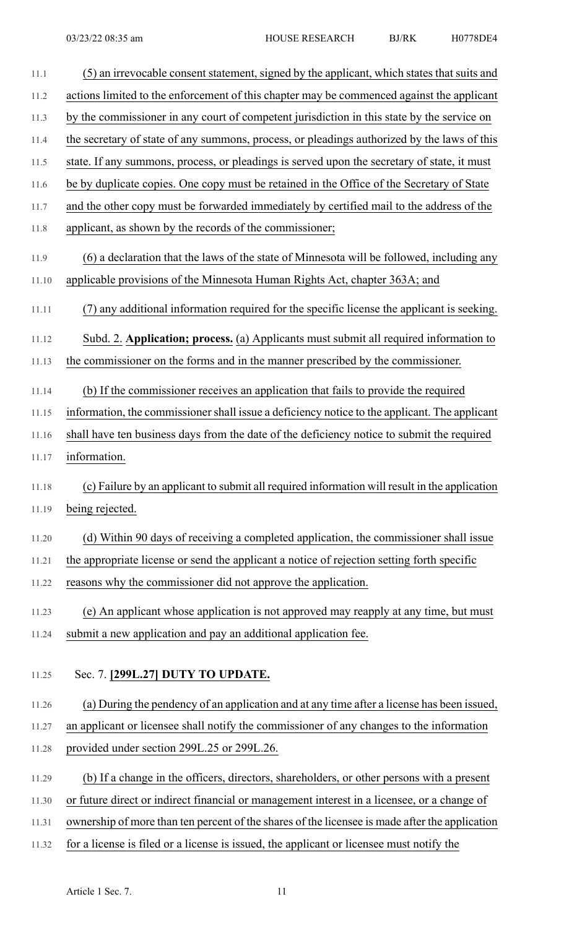| 11.1  | (5) an irrevocable consent statement, signed by the applicant, which states that suits and     |
|-------|------------------------------------------------------------------------------------------------|
| 11.2  | actions limited to the enforcement of this chapter may be commenced against the applicant      |
| 11.3  | by the commissioner in any court of competent jurisdiction in this state by the service on     |
| 11.4  | the secretary of state of any summons, process, or pleadings authorized by the laws of this    |
| 11.5  | state. If any summons, process, or pleadings is served upon the secretary of state, it must    |
| 11.6  | be by duplicate copies. One copy must be retained in the Office of the Secretary of State      |
| 11.7  | and the other copy must be forwarded immediately by certified mail to the address of the       |
| 11.8  | applicant, as shown by the records of the commissioner;                                        |
| 11.9  | (6) a declaration that the laws of the state of Minnesota will be followed, including any      |
| 11.10 | applicable provisions of the Minnesota Human Rights Act, chapter 363A; and                     |
| 11.11 | (7) any additional information required for the specific license the applicant is seeking.     |
| 11.12 | Subd. 2. Application; process. (a) Applicants must submit all required information to          |
| 11.13 | the commissioner on the forms and in the manner prescribed by the commissioner.                |
| 11.14 | (b) If the commissioner receives an application that fails to provide the required             |
| 11.15 | information, the commissioner shall issue a deficiency notice to the applicant. The applicant  |
| 11.16 | shall have ten business days from the date of the deficiency notice to submit the required     |
| 11.17 | information.                                                                                   |
| 11.18 | (c) Failure by an applicant to submit all required information will result in the application  |
| 11.19 | being rejected.                                                                                |
| 11.20 | (d) Within 90 days of receiving a completed application, the commissioner shall issue          |
| 11.21 | the appropriate license or send the applicant a notice of rejection setting forth specific     |
| 11.22 | reasons why the commissioner did not approve the application.                                  |
| 11.23 | (e) An applicant whose application is not approved may reapply at any time, but must           |
| 11.24 | submit a new application and pay an additional application fee.                                |
| 11.25 | Sec. 7. [299L.27] DUTY TO UPDATE.                                                              |
| 11.26 | (a) During the pendency of an application and at any time after a license has been issued,     |
| 11.27 | an applicant or licensee shall notify the commissioner of any changes to the information       |
| 11.28 | provided under section 299L.25 or 299L.26.                                                     |
| 11.29 | (b) If a change in the officers, directors, shareholders, or other persons with a present      |
| 11.30 | or future direct or indirect financial or management interest in a licensee, or a change of    |
| 11.31 | ownership of more than ten percent of the shares of the licensee is made after the application |
| 11.32 | for a license is filed or a license is issued, the applicant or licensee must notify the       |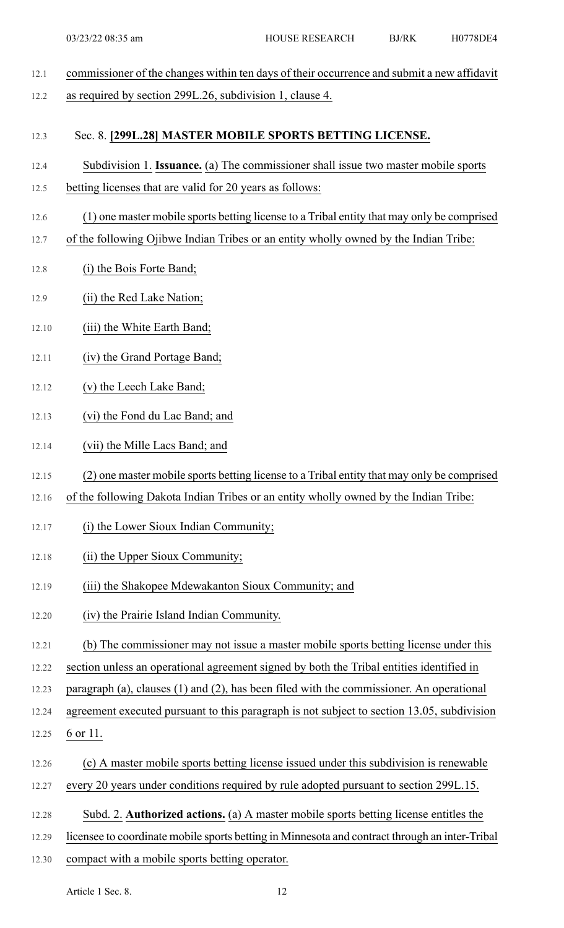- 12.1 commissioner of the changes within ten days of their occurrence and submit a new affidavit 12.2 as required by section 299L.26, subdivision 1, clause 4. 12.3 Sec. 8. **[299L.28] MASTER MOBILE SPORTS BETTING LICENSE.** 12.4 Subdivision 1. **Issuance.** (a) The commissioner shall issue two master mobile sports 12.5 betting licenses that are valid for 20 years as follows: 12.6 (1) one master mobile sports betting license to a Tribal entity that may only be comprised 12.7 of the following Ojibwe Indian Tribes or an entity wholly owned by the Indian Tribe: 12.8 (i) the Bois Forte Band; 12.9 (ii) the Red Lake Nation; 12.10 (iii) the White Earth Band; 12.11 (iv) the Grand Portage Band; 12.12 (v) the Leech Lake Band; 12.13 (vi) the Fond du Lac Band; and 12.14 (vii) the Mille Lacs Band; and
- 12.15 (2) one master mobile sports betting license to a Tribal entity that may only be comprised
- 12.16 of the following Dakota Indian Tribes or an entity wholly owned by the Indian Tribe:
- 12.17 (i) the Lower Sioux Indian Community;
- 12.18 (ii) the Upper Sioux Community;
- 12.19 (iii) the Shakopee Mdewakanton Sioux Community; and
- 12.20 (iv) the Prairie Island Indian Community.
- 12.21 (b) The commissioner may not issue a master mobile sports betting license under this
- 12.22 section unless an operational agreement signed by both the Tribal entities identified in
- 12.23 paragraph (a), clauses (1) and (2), has been filed with the commissioner. An operational
- 12.24 agreement executed pursuant to this paragraph is not subject to section 13.05, subdivision
- 12.25 6 or 11.
- 12.26 (c) A master mobile sports betting license issued under this subdivision is renewable
- 12.27 every 20 years under conditions required by rule adopted pursuant to section 299L.15.
- 12.28 Subd. 2. **Authorized actions.** (a) A master mobile sports betting license entitles the
- 12.29 licensee to coordinate mobile sports betting in Minnesota and contract through an inter-Tribal
- 12.30 compact with a mobile sports betting operator.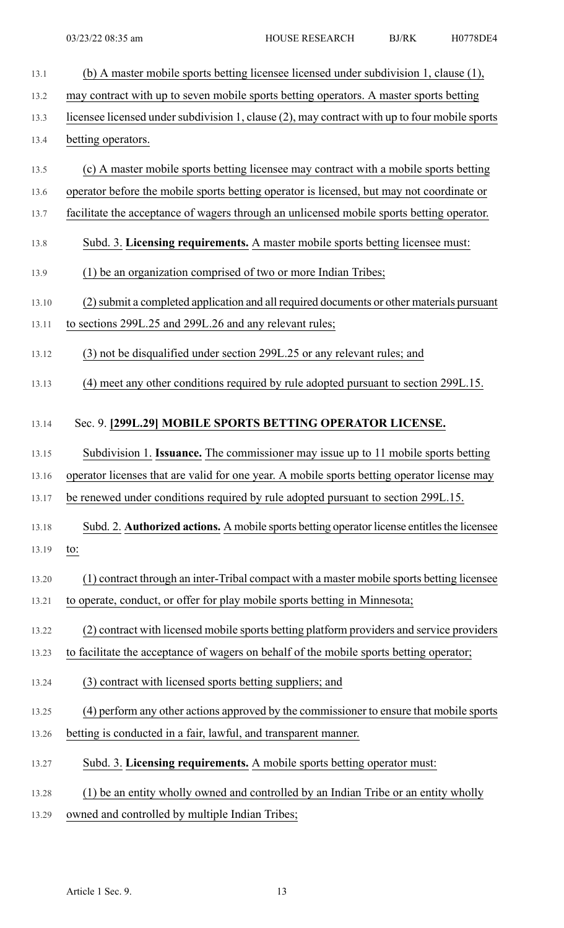| 13.1  | (b) A master mobile sports betting licensee licensed under subdivision 1, clause (1),         |
|-------|-----------------------------------------------------------------------------------------------|
| 13.2  | may contract with up to seven mobile sports betting operators. A master sports betting        |
| 13.3  | licensee licensed under subdivision 1, clause (2), may contract with up to four mobile sports |
| 13.4  | betting operators.                                                                            |
| 13.5  | (c) A master mobile sports betting licensee may contract with a mobile sports betting         |
| 13.6  | operator before the mobile sports betting operator is licensed, but may not coordinate or     |
| 13.7  | facilitate the acceptance of wagers through an unlicensed mobile sports betting operator.     |
| 13.8  | Subd. 3. Licensing requirements. A master mobile sports betting licensee must:                |
| 13.9  | (1) be an organization comprised of two or more Indian Tribes;                                |
| 13.10 | (2) submit a completed application and all required documents or other materials pursuant     |
| 13.11 | to sections 299L.25 and 299L.26 and any relevant rules;                                       |
| 13.12 | (3) not be disqualified under section 299L.25 or any relevant rules; and                      |
| 13.13 | (4) meet any other conditions required by rule adopted pursuant to section 299L.15.           |
| 13.14 | Sec. 9. [299L.29] MOBILE SPORTS BETTING OPERATOR LICENSE.                                     |
| 13.15 | Subdivision 1. Issuance. The commissioner may issue up to 11 mobile sports betting            |
| 13.16 | operator licenses that are valid for one year. A mobile sports betting operator license may   |
| 13.17 | be renewed under conditions required by rule adopted pursuant to section 299L.15.             |
| 13.18 | Subd. 2. Authorized actions. A mobile sports betting operator license entitles the licensee   |
| 13.19 | to:                                                                                           |
| 13.20 | (1) contract through an inter-Tribal compact with a master mobile sports betting licensee     |
| 13.21 | to operate, conduct, or offer for play mobile sports betting in Minnesota;                    |
| 13.22 | (2) contract with licensed mobile sports betting platform providers and service providers     |
| 13.23 | to facilitate the acceptance of wagers on behalf of the mobile sports betting operator;       |
| 13.24 | (3) contract with licensed sports betting suppliers; and                                      |
| 13.25 | (4) perform any other actions approved by the commissioner to ensure that mobile sports       |
| 13.26 | betting is conducted in a fair, lawful, and transparent manner.                               |
| 13.27 | Subd. 3. Licensing requirements. A mobile sports betting operator must:                       |
| 13.28 | (1) be an entity wholly owned and controlled by an Indian Tribe or an entity wholly           |
| 13.29 | owned and controlled by multiple Indian Tribes;                                               |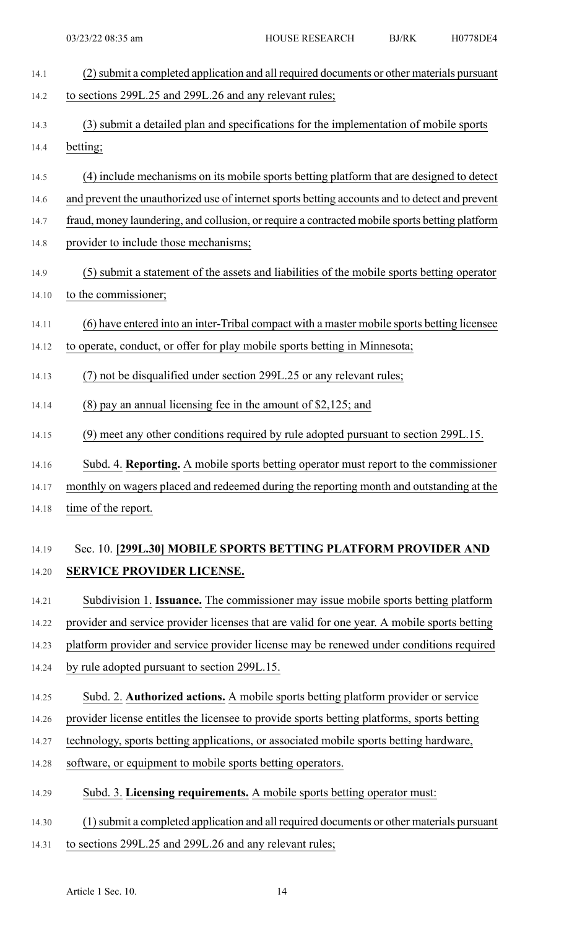| 14.1  | (2) submit a completed application and all required documents or other materials pursuant      |
|-------|------------------------------------------------------------------------------------------------|
| 14.2  | to sections 299L.25 and 299L.26 and any relevant rules;                                        |
| 14.3  | (3) submit a detailed plan and specifications for the implementation of mobile sports          |
| 14.4  | betting;                                                                                       |
| 14.5  | (4) include mechanisms on its mobile sports betting platform that are designed to detect       |
| 14.6  | and prevent the unauthorized use of internet sports betting accounts and to detect and prevent |
| 14.7  | fraud, money laundering, and collusion, or require a contracted mobile sports betting platform |
| 14.8  | provider to include those mechanisms;                                                          |
| 14.9  | (5) submit a statement of the assets and liabilities of the mobile sports betting operator     |
| 14.10 | to the commissioner;                                                                           |
| 14.11 | (6) have entered into an inter-Tribal compact with a master mobile sports betting licensee     |
| 14.12 | to operate, conduct, or offer for play mobile sports betting in Minnesota;                     |
| 14.13 | (7) not be disqualified under section 299L.25 or any relevant rules;                           |
| 14.14 | $(8)$ pay an annual licensing fee in the amount of \$2,125; and                                |
| 14.15 | (9) meet any other conditions required by rule adopted pursuant to section 299L.15.            |
| 14.16 | Subd. 4. Reporting. A mobile sports betting operator must report to the commissioner           |
| 14.17 | monthly on wagers placed and redeemed during the reporting month and outstanding at the        |
| 14.18 | time of the report.                                                                            |
| 14.19 | Sec. 10. [299L.30] MOBILE SPORTS BETTING PLATFORM PROVIDER AND                                 |
| 14.20 | SERVICE PROVIDER LICENSE.                                                                      |
| 14.21 | Subdivision 1. Issuance. The commissioner may issue mobile sports betting platform             |
| 14.22 | provider and service provider licenses that are valid for one year. A mobile sports betting    |
| 14.23 | platform provider and service provider license may be renewed under conditions required        |
| 14.24 | by rule adopted pursuant to section 299L.15.                                                   |
| 14.25 | Subd. 2. Authorized actions. A mobile sports betting platform provider or service              |
| 14.26 | provider license entitles the licensee to provide sports betting platforms, sports betting     |
| 14.27 | technology, sports betting applications, or associated mobile sports betting hardware,         |
| 14.28 | software, or equipment to mobile sports betting operators.                                     |
| 14.29 | Subd. 3. Licensing requirements. A mobile sports betting operator must:                        |
| 14.30 | (1) submit a completed application and all required documents or other materials pursuant      |
| 14.31 | to sections 299L.25 and 299L.26 and any relevant rules;                                        |
|       |                                                                                                |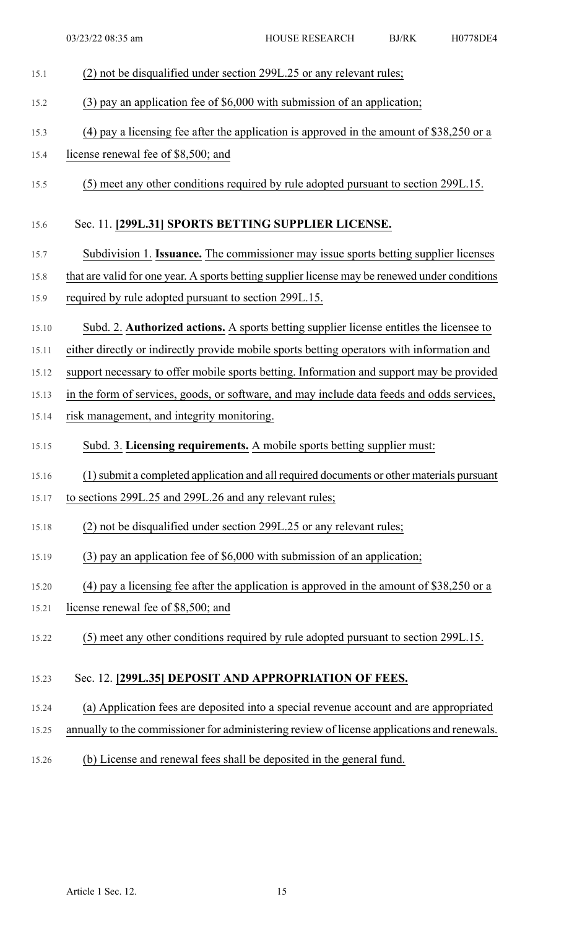| 15.1  | (2) not be disqualified under section 299L.25 or any relevant rules;                           |
|-------|------------------------------------------------------------------------------------------------|
| 15.2  | $(3)$ pay an application fee of \$6,000 with submission of an application;                     |
| 15.3  | (4) pay a licensing fee after the application is approved in the amount of \$38,250 or a       |
| 15.4  | license renewal fee of \$8,500; and                                                            |
| 15.5  | (5) meet any other conditions required by rule adopted pursuant to section 299L.15.            |
| 15.6  | Sec. 11. [299L.31] SPORTS BETTING SUPPLIER LICENSE.                                            |
| 15.7  | Subdivision 1. Issuance. The commissioner may issue sports betting supplier licenses           |
| 15.8  | that are valid for one year. A sports betting supplier license may be renewed under conditions |
| 15.9  | required by rule adopted pursuant to section 299L.15.                                          |
| 15.10 | Subd. 2. <b>Authorized actions.</b> A sports betting supplier license entitles the licensee to |
| 15.11 | either directly or indirectly provide mobile sports betting operators with information and     |
| 15.12 | support necessary to offer mobile sports betting. Information and support may be provided      |
| 15.13 | in the form of services, goods, or software, and may include data feeds and odds services,     |
| 15.14 | risk management, and integrity monitoring.                                                     |
| 15.15 | Subd. 3. Licensing requirements. A mobile sports betting supplier must:                        |
| 15.16 | (1) submit a completed application and all required documents or other materials pursuant      |
| 15.17 | to sections 299L.25 and 299L.26 and any relevant rules;                                        |
| 15.18 | (2) not be disqualified under section 299L.25 or any relevant rules;                           |
| 15.19 | $(3)$ pay an application fee of \$6,000 with submission of an application;                     |
|       |                                                                                                |
| 15.20 | (4) pay a licensing fee after the application is approved in the amount of $$38,250$ or a      |
| 15.21 | license renewal fee of \$8,500; and                                                            |
| 15.22 | (5) meet any other conditions required by rule adopted pursuant to section 299L.15.            |
| 15.23 | Sec. 12. [299L.35] DEPOSIT AND APPROPRIATION OF FEES.                                          |
| 15.24 | (a) Application fees are deposited into a special revenue account and are appropriated         |
| 15.25 | annually to the commissioner for administering review of license applications and renewals.    |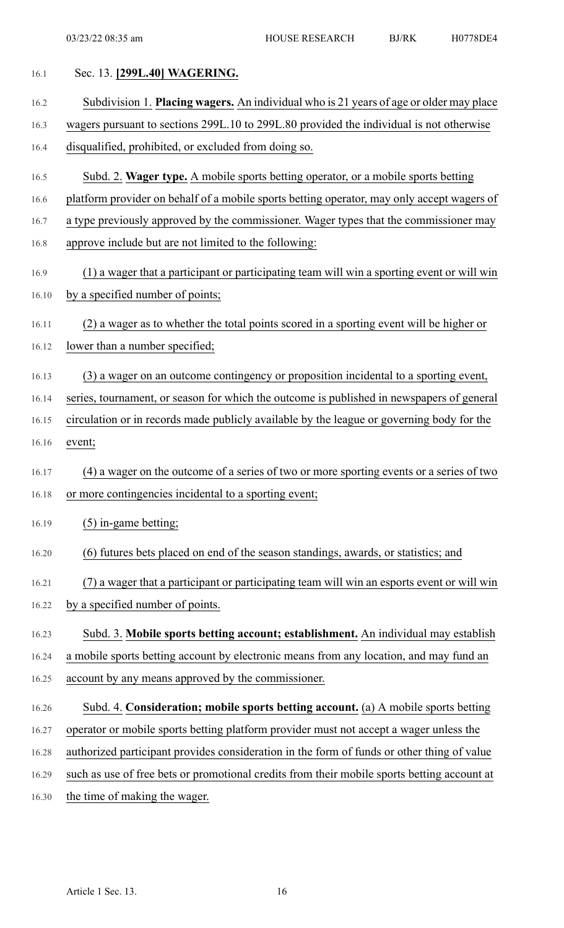| 16.1  | Sec. 13. [299L.40] WAGERING.                                                                |
|-------|---------------------------------------------------------------------------------------------|
| 16.2  | Subdivision 1. Placing wagers. An individual who is 21 years of age or older may place      |
| 16.3  | wagers pursuant to sections 299L.10 to 299L.80 provided the individual is not otherwise     |
| 16.4  | disqualified, prohibited, or excluded from doing so.                                        |
| 16.5  | Subd. 2. Wager type. A mobile sports betting operator, or a mobile sports betting           |
| 16.6  | platform provider on behalf of a mobile sports betting operator, may only accept wagers of  |
| 16.7  | a type previously approved by the commissioner. Wager types that the commissioner may       |
| 16.8  | approve include but are not limited to the following:                                       |
| 16.9  | (1) a wager that a participant or participating team will win a sporting event or will win  |
| 16.10 | by a specified number of points;                                                            |
| 16.11 | (2) a wager as to whether the total points scored in a sporting event will be higher or     |
| 16.12 | lower than a number specified;                                                              |
| 16.13 | (3) a wager on an outcome contingency or proposition incidental to a sporting event,        |
| 16.14 | series, tournament, or season for which the outcome is published in newspapers of general   |
| 16.15 | circulation or in records made publicly available by the league or governing body for the   |
| 16.16 | event;                                                                                      |
| 16.17 | (4) a wager on the outcome of a series of two or more sporting events or a series of two    |
| 16.18 | or more contingencies incidental to a sporting event;                                       |
| 16.19 | $(5)$ in-game betting;                                                                      |
| 16.20 | (6) futures bets placed on end of the season standings, awards, or statistics; and          |
| 16.21 | (7) a wager that a participant or participating team will win an esports event or will win  |
| 16.22 | by a specified number of points.                                                            |
| 16.23 | Subd. 3. Mobile sports betting account; establishment. An individual may establish          |
| 16.24 | a mobile sports betting account by electronic means from any location, and may fund an      |
| 16.25 | account by any means approved by the commissioner.                                          |
| 16.26 | Subd. 4. Consideration; mobile sports betting account. (a) A mobile sports betting          |
| 16.27 | operator or mobile sports betting platform provider must not accept a wager unless the      |
| 16.28 | authorized participant provides consideration in the form of funds or other thing of value  |
| 16.29 | such as use of free bets or promotional credits from their mobile sports betting account at |
| 16.30 | the time of making the wager.                                                               |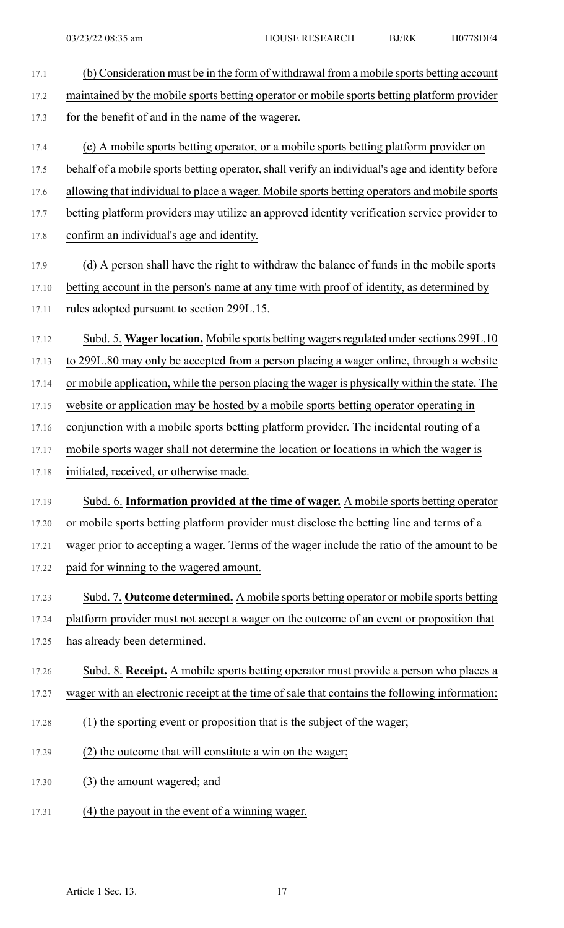17.1 (b) Consideration must be in the form of withdrawal from a mobile sports betting account 17.2 maintained by the mobile sports betting operator or mobile sports betting platform provider 17.3 for the benefit of and in the name of the wagerer. 17.4 (c) A mobile sports betting operator, or a mobile sports betting platform provider on 17.5 behalf of a mobile sports betting operator, shall verify an individual's age and identity before 17.6 allowing that individual to place a wager. Mobile sports betting operators and mobile sports 17.7 betting platform providers may utilize an approved identity verification service provider to 17.8 confirm an individual's age and identity. 17.9 (d) A person shall have the right to withdraw the balance of funds in the mobile sports 17.10 betting account in the person's name at any time with proof of identity, as determined by 17.11 rules adopted pursuant to section 299L.15. 17.12 Subd. 5. Wager location. Mobile sports betting wagers regulated under sections 299L.10 17.13 to 299L.80 may only be accepted from a person placing a wager online, through a website 17.14 or mobile application, while the person placing the wager is physically within the state. The 17.15 website or application may be hosted by a mobile sports betting operator operating in 17.16 conjunction with a mobile sports betting platform provider. The incidental routing of a 17.17 mobile sports wager shall not determine the location or locations in which the wager is 17.18 initiated, received, or otherwise made. 17.19 Subd. 6. **Information provided at the time of wager.** A mobile sports betting operator 17.20 or mobile sports betting platform provider must disclose the betting line and terms of a 17.21 wager prior to accepting a wager. Terms of the wager include the ratio of the amount to be 17.22 paid for winning to the wagered amount. 17.23 Subd. 7. **Outcome determined.** A mobile sports betting operator or mobile sports betting 17.24 platform provider must not accept a wager on the outcome of an event or proposition that 17.25 has already been determined. 17.26 Subd. 8. **Receipt.** A mobile sports betting operator must provide a person who places a 17.27 wager with an electronic receipt at the time of sale that contains the following information: 17.28 (1) the sporting event or proposition that is the subject of the wager; 17.29 (2) the outcome that will constitute a win on the wager; 17.30 (3) the amount wagered; and 17.31 (4) the payout in the event of a winning wager.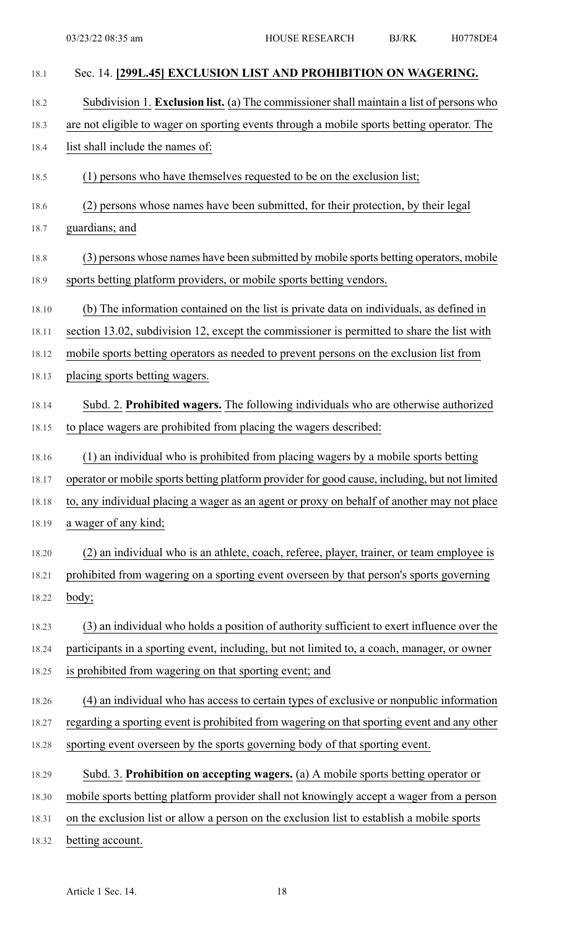| 18.1  | Sec. 14. [299L.45] EXCLUSION LIST AND PROHIBITION ON WAGERING.                                 |
|-------|------------------------------------------------------------------------------------------------|
| 18.2  | Subdivision 1. Exclusion list. (a) The commissioner shall maintain a list of persons who       |
| 18.3  | are not eligible to wager on sporting events through a mobile sports betting operator. The     |
| 18.4  | list shall include the names of:                                                               |
| 18.5  | (1) persons who have themselves requested to be on the exclusion list;                         |
| 18.6  | (2) persons whose names have been submitted, for their protection, by their legal              |
| 18.7  | guardians; and                                                                                 |
| 18.8  | (3) persons whose names have been submitted by mobile sports betting operators, mobile         |
| 18.9  | sports betting platform providers, or mobile sports betting vendors.                           |
| 18.10 | (b) The information contained on the list is private data on individuals, as defined in        |
| 18.11 | section 13.02, subdivision 12, except the commissioner is permitted to share the list with     |
| 18.12 | mobile sports betting operators as needed to prevent persons on the exclusion list from        |
| 18.13 | placing sports betting wagers.                                                                 |
| 18.14 | Subd. 2. Prohibited wagers. The following individuals who are otherwise authorized             |
| 18.15 | to place wagers are prohibited from placing the wagers described:                              |
| 18.16 | (1) an individual who is prohibited from placing wagers by a mobile sports betting             |
| 18.17 | operator or mobile sports betting platform provider for good cause, including, but not limited |
| 18.18 | to, any individual placing a wager as an agent or proxy on behalf of another may not place     |
| 18.19 | a wager of any kind;                                                                           |
| 18.20 | (2) an individual who is an athlete, coach, referee, player, trainer, or team employee is      |
| 18.21 | prohibited from wagering on a sporting event overseen by that person's sports governing        |
| 18.22 | <u>body;</u>                                                                                   |
| 18.23 | (3) an individual who holds a position of authority sufficient to exert influence over the     |
| 18.24 | participants in a sporting event, including, but not limited to, a coach, manager, or owner    |
| 18.25 | is prohibited from wagering on that sporting event; and                                        |
| 18.26 | (4) an individual who has access to certain types of exclusive or nonpublic information        |
| 18.27 | regarding a sporting event is prohibited from wagering on that sporting event and any other    |
| 18.28 | sporting event overseen by the sports governing body of that sporting event.                   |
| 18.29 | Subd. 3. Prohibition on accepting wagers. (a) A mobile sports betting operator or              |
| 18.30 | mobile sports betting platform provider shall not knowingly accept a wager from a person       |
| 18.31 | on the exclusion list or allow a person on the exclusion list to establish a mobile sports     |
| 18.32 | betting account.                                                                               |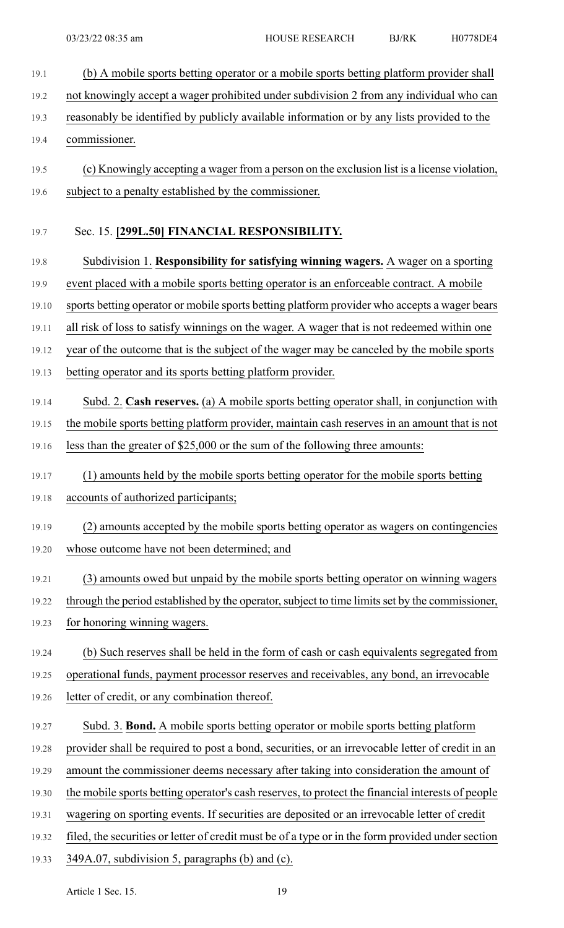19.1 (b) A mobile sports betting operator or a mobile sports betting platform provider shall 19.2 not knowingly accept a wager prohibited under subdivision 2 from any individual who can 19.3 reasonably be identified by publicly available information or by any lists provided to the 19.4 commissioner. 19.5 (c) Knowingly accepting a wager from a person on the exclusion list is a license violation, 19.6 subject to a penalty established by the commissioner. 19.7 Sec. 15. **[299L.50] FINANCIAL RESPONSIBILITY.** 19.8 Subdivision 1. **Responsibility for satisfying winning wagers.** A wager on a sporting 19.9 event placed with a mobile sports betting operator is an enforceable contract. A mobile 19.10 sports betting operator or mobile sports betting platform provider who accepts a wager bears 19.11 all risk of loss to satisfy winnings on the wager. A wager that is not redeemed within one 19.12 year of the outcome that is the subject of the wager may be canceled by the mobile sports 19.13 betting operator and its sports betting platform provider. 19.14 Subd. 2. **Cash reserves.** (a) A mobile sports betting operator shall, in conjunction with 19.15 the mobile sports betting platform provider, maintain cash reserves in an amount that is not 19.16 less than the greater of \$25,000 or the sum of the following three amounts: 19.17 (1) amounts held by the mobile sports betting operator for the mobile sports betting 19.18 accounts of authorized participants; 19.19 (2) amounts accepted by the mobile sports betting operator as wagers on contingencies 19.20 whose outcome have not been determined; and 19.21 (3) amounts owed but unpaid by the mobile sports betting operator on winning wagers 19.22 through the period established by the operator, subject to time limits set by the commissioner, 19.23 for honoring winning wagers. 19.24 (b) Such reserves shall be held in the form of cash or cash equivalents segregated from 19.25 operational funds, payment processor reserves and receivables, any bond, an irrevocable 19.26 letter of credit, or any combination thereof. 19.27 Subd. 3. **Bond.** A mobile sports betting operator or mobile sports betting platform 19.28 provider shall be required to post a bond, securities, or an irrevocable letter of credit in an 19.29 amount the commissioner deems necessary after taking into consideration the amount of 19.30 the mobile sports betting operator's cash reserves, to protect the financial interests of people 19.31 wagering on sporting events. If securities are deposited or an irrevocable letter of credit 19.32 filed, the securities or letter of credit must be of a type or in the form provided under section 19.33 349A.07, subdivision 5, paragraphs (b) and (c).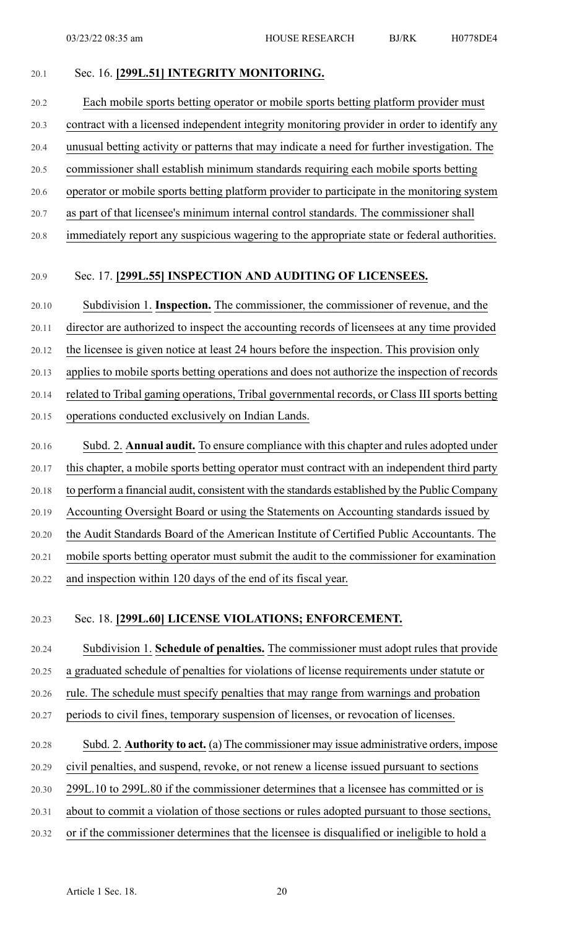## 20.1 Sec. 16. **[299L.51] INTEGRITY MONITORING.**

20.2 Each mobile sports betting operator or mobile sports betting platform provider must 20.3 contract with a licensed independent integrity monitoring provider in order to identify any 20.4 unusual betting activity or patterns that may indicate a need for further investigation. The 20.5 commissioner shall establish minimum standards requiring each mobile sports betting 20.6 operator or mobile sports betting platform provider to participate in the monitoring system 20.7 as part of that licensee's minimum internal control standards. The commissioner shall 20.8 immediately report any suspicious wagering to the appropriate state or federal authorities.

### 20.9 Sec. 17. **[299L.55] INSPECTION AND AUDITING OF LICENSEES.**

20.10 Subdivision 1. **Inspection.** The commissioner, the commissioner of revenue, and the 20.11 director are authorized to inspect the accounting records of licensees at any time provided 20.12 the licensee is given notice at least 24 hours before the inspection. This provision only 20.13 applies to mobile sports betting operations and does not authorize the inspection of records 20.14 related to Tribal gaming operations, Tribal governmental records, or Class III sports betting 20.15 operations conducted exclusively on Indian Lands. 20.16 Subd. 2. **Annual audit.** To ensure compliance with this chapter and rules adopted under

20.17 this chapter, a mobile sports betting operator must contract with an independent third party 20.18 to perform a financial audit, consistent with the standards established by the Public Company 20.19 Accounting Oversight Board or using the Statements on Accounting standards issued by 20.20 the Audit Standards Board of the American Institute of Certified Public Accountants. The 20.21 mobile sports betting operator must submit the audit to the commissioner for examination 20.22 and inspection within 120 days of the end of its fiscal year.

#### 20.23 Sec. 18. **[299L.60] LICENSE VIOLATIONS; ENFORCEMENT.**

20.24 Subdivision 1. **Schedule of penalties.** The commissioner must adopt rules that provide 20.25 a graduated schedule of penalties for violations of license requirements under statute or

20.26 rule. The schedule must specify penalties that may range from warnings and probation

- 
- 20.27 periods to civil fines, temporary suspension of licenses, or revocation of licenses.

# 20.28 Subd. 2. **Authority to act.** (a) The commissioner may issue administrative orders, impose

20.29 civil penalties, and suspend, revoke, or not renew a license issued pursuant to sections

20.30 299L.10 to 299L.80 if the commissioner determines that a licensee has committed or is

- 20.31 about to commit a violation of those sections or rules adopted pursuant to those sections,
- 20.32 or if the commissioner determines that the licensee is disqualified or ineligible to hold a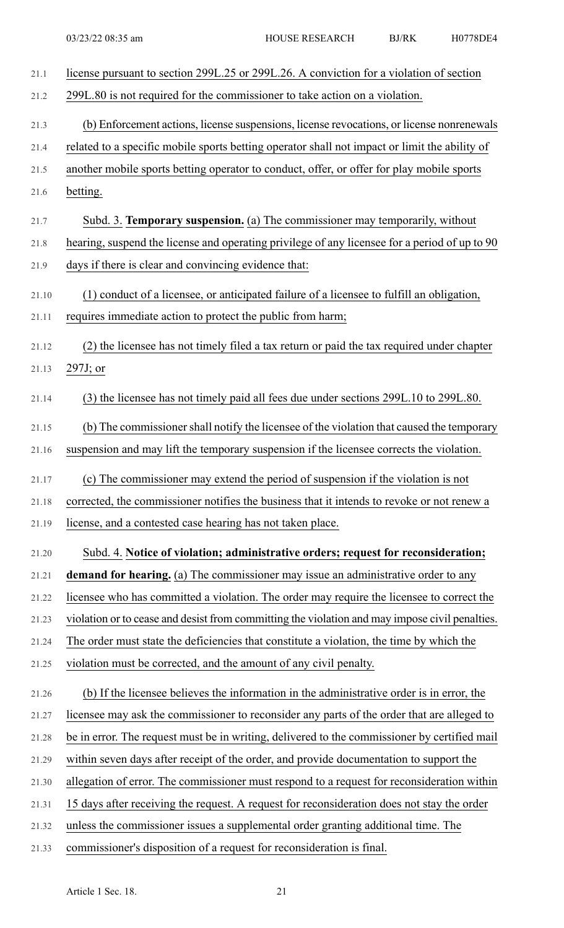| 21.1  | license pursuant to section 299L.25 or 299L.26. A conviction for a violation of section        |
|-------|------------------------------------------------------------------------------------------------|
| 21.2  | 299L.80 is not required for the commissioner to take action on a violation.                    |
| 21.3  | (b) Enforcement actions, license suspensions, license revocations, or license nonrenewals      |
| 21.4  | related to a specific mobile sports betting operator shall not impact or limit the ability of  |
| 21.5  | another mobile sports betting operator to conduct, offer, or offer for play mobile sports      |
| 21.6  | betting.                                                                                       |
| 21.7  | Subd. 3. Temporary suspension. (a) The commissioner may temporarily, without                   |
| 21.8  | hearing, suspend the license and operating privilege of any licensee for a period of up to 90  |
| 21.9  | days if there is clear and convincing evidence that:                                           |
| 21.10 | (1) conduct of a licensee, or anticipated failure of a licensee to fulfill an obligation,      |
| 21.11 | requires immediate action to protect the public from harm;                                     |
| 21.12 | (2) the licensee has not timely filed a tax return or paid the tax required under chapter      |
| 21.13 | $297J$ ; or                                                                                    |
| 21.14 | (3) the licensee has not timely paid all fees due under sections 299L.10 to 299L.80.           |
| 21.15 | (b) The commissioner shall notify the licensee of the violation that caused the temporary      |
| 21.16 | suspension and may lift the temporary suspension if the licensee corrects the violation.       |
| 21.17 | (c) The commissioner may extend the period of suspension if the violation is not               |
| 21.18 | corrected, the commissioner notifies the business that it intends to revoke or not renew a     |
| 21.19 | license, and a contested case hearing has not taken place.                                     |
| 21.20 | Subd. 4. Notice of violation; administrative orders; request for reconsideration;              |
| 21.21 | demand for hearing. (a) The commissioner may issue an administrative order to any              |
| 21.22 | licensee who has committed a violation. The order may require the licensee to correct the      |
| 21.23 | violation or to cease and desist from committing the violation and may impose civil penalties. |
| 21.24 | The order must state the deficiencies that constitute a violation, the time by which the       |
| 21.25 | violation must be corrected, and the amount of any civil penalty.                              |
| 21.26 | (b) If the licensee believes the information in the administrative order is in error, the      |
| 21.27 | licensee may ask the commissioner to reconsider any parts of the order that are alleged to     |
| 21.28 | be in error. The request must be in writing, delivered to the commissioner by certified mail   |
| 21.29 | within seven days after receipt of the order, and provide documentation to support the         |
| 21.30 | allegation of error. The commissioner must respond to a request for reconsideration within     |
| 21.31 | 15 days after receiving the request. A request for reconsideration does not stay the order     |
| 21.32 | unless the commissioner issues a supplemental order granting additional time. The              |
| 21.33 | commissioner's disposition of a request for reconsideration is final.                          |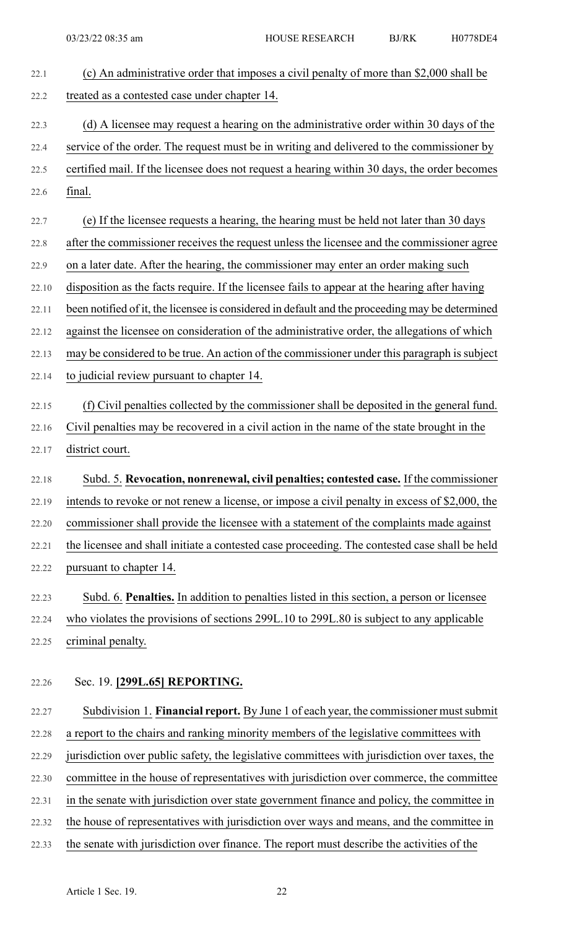| 22.1  | (c) An administrative order that imposes a civil penalty of more than \$2,000 shall be          |
|-------|-------------------------------------------------------------------------------------------------|
| 22.2  | treated as a contested case under chapter 14.                                                   |
| 22.3  | (d) A licensee may request a hearing on the administrative order within 30 days of the          |
| 22.4  | service of the order. The request must be in writing and delivered to the commissioner by       |
| 22.5  | certified mail. If the licensee does not request a hearing within 30 days, the order becomes    |
| 22.6  | final.                                                                                          |
| 22.7  | (e) If the licensee requests a hearing, the hearing must be held not later than 30 days         |
| 22.8  | after the commissioner receives the request unless the licensee and the commissioner agree      |
| 22.9  | on a later date. After the hearing, the commissioner may enter an order making such             |
| 22.10 | disposition as the facts require. If the licensee fails to appear at the hearing after having   |
| 22.11 | been notified of it, the licensee is considered in default and the proceeding may be determined |
| 22.12 | against the licensee on consideration of the administrative order, the allegations of which     |
| 22.13 | may be considered to be true. An action of the commissioner under this paragraph is subject     |
| 22.14 | to judicial review pursuant to chapter 14.                                                      |
| 22.15 | (f) Civil penalties collected by the commissioner shall be deposited in the general fund.       |
| 22.16 | Civil penalties may be recovered in a civil action in the name of the state brought in the      |
| 22.17 | district court.                                                                                 |
| 22.18 | Subd. 5. Revocation, nonrenewal, civil penalties; contested case. If the commissioner           |
| 22.19 | intends to revoke or not renew a license, or impose a civil penalty in excess of \$2,000, the   |
| 22.20 | commissioner shall provide the licensee with a statement of the complaints made against         |
| 22.21 | the licensee and shall initiate a contested case proceeding. The contested case shall be held   |
| 22.22 | pursuant to chapter 14.                                                                         |
| 22.23 | Subd. 6. Penalties. In addition to penalties listed in this section, a person or licensee       |
| 22.24 | who violates the provisions of sections 299L.10 to 299L.80 is subject to any applicable         |
| 22.25 | criminal penalty.                                                                               |
| 22.26 | Sec. 19. [299L.65] REPORTING.                                                                   |
| 22.27 | Subdivision 1. Financial report. By June 1 of each year, the commissioner must submit           |
| 22.28 | a report to the chairs and ranking minority members of the legislative committees with          |
| 22.29 | jurisdiction over public safety, the legislative committees with jurisdiction over taxes, the   |
| 22.30 | committee in the house of representatives with jurisdiction over commerce, the committee        |
| 22.31 |                                                                                                 |
|       | in the senate with jurisdiction over state government finance and policy, the committee in      |
| 22.32 | the house of representatives with jurisdiction over ways and means, and the committee in        |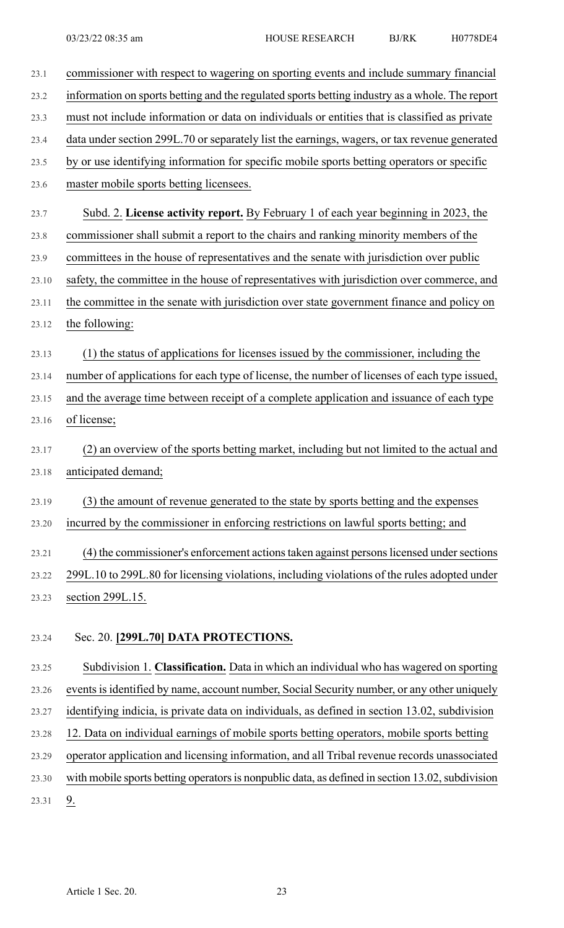| 23.1  | commissioner with respect to wagering on sporting events and include summary financial         |
|-------|------------------------------------------------------------------------------------------------|
| 23.2  | information on sports betting and the regulated sports betting industry as a whole. The report |
| 23.3  | must not include information or data on individuals or entities that is classified as private  |
| 23.4  | data under section 299L.70 or separately list the earnings, wagers, or tax revenue generated   |
| 23.5  | by or use identifying information for specific mobile sports betting operators or specific     |
| 23.6  | master mobile sports betting licensees.                                                        |
| 23.7  | Subd. 2. License activity report. By February 1 of each year beginning in 2023, the            |
| 23.8  | commissioner shall submit a report to the chairs and ranking minority members of the           |
| 23.9  | committees in the house of representatives and the senate with jurisdiction over public        |
| 23.10 | safety, the committee in the house of representatives with jurisdiction over commerce, and     |
| 23.11 | the committee in the senate with jurisdiction over state government finance and policy on      |
| 23.12 | the following:                                                                                 |
| 23.13 | (1) the status of applications for licenses issued by the commissioner, including the          |
| 23.14 | number of applications for each type of license, the number of licenses of each type issued,   |
| 23.15 | and the average time between receipt of a complete application and issuance of each type       |
| 23.16 | of license;                                                                                    |
| 23.17 | (2) an overview of the sports betting market, including but not limited to the actual and      |
| 23.18 | anticipated demand;                                                                            |
| 23.19 | (3) the amount of revenue generated to the state by sports betting and the expenses            |
| 23.20 | incurred by the commissioner in enforcing restrictions on lawful sports betting; and           |
| 23.21 | (4) the commissioner's enforcement actions taken against persons licensed under sections       |
| 23.22 | 299L.10 to 299L.80 for licensing violations, including violations of the rules adopted under   |
| 23.23 | section 299L.15.                                                                               |
|       |                                                                                                |
| 23.24 | Sec. 20. [299L.70] DATA PROTECTIONS.                                                           |
| 23.25 | Subdivision 1. Classification. Data in which an individual who has wagered on sporting         |

23.26 events is identified by name, account number, Social Security number, or any other uniquely 23.27 identifying indicia, is private data on individuals, as defined in section 13.02, subdivision 23.28 12. Data on individual earnings of mobile sports betting operators, mobile sports betting 23.29 operator application and licensing information, and all Tribal revenue records unassociated 23.30 with mobile sports betting operators is nonpublic data, as defined in section 13.02, subdivision  $23.31 \quad 9.$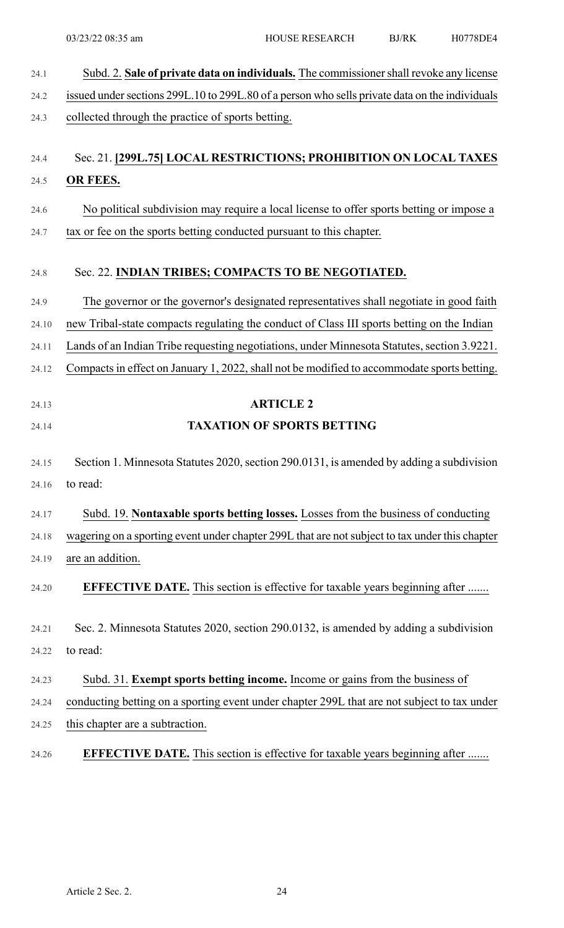| 24.1  | Subd. 2. Sale of private data on individuals. The commissioner shall revoke any license        |
|-------|------------------------------------------------------------------------------------------------|
| 24.2  | issued under sections 299L.10 to 299L.80 of a person who sells private data on the individuals |
| 24.3  | collected through the practice of sports betting.                                              |
| 24.4  | Sec. 21. [299L.75] LOCAL RESTRICTIONS; PROHIBITION ON LOCAL TAXES                              |
| 24.5  | OR FEES.                                                                                       |
| 24.6  | No political subdivision may require a local license to offer sports betting or impose a       |
| 24.7  | tax or fee on the sports betting conducted pursuant to this chapter.                           |
| 24.8  | Sec. 22. INDIAN TRIBES; COMPACTS TO BE NEGOTIATED.                                             |
| 24.9  | The governor or the governor's designated representatives shall negotiate in good faith        |
| 24.10 | new Tribal-state compacts regulating the conduct of Class III sports betting on the Indian     |
| 24.11 | Lands of an Indian Tribe requesting negotiations, under Minnesota Statutes, section 3.9221.    |
| 24.12 | Compacts in effect on January 1, 2022, shall not be modified to accommodate sports betting.    |
| 24.13 | <b>ARTICLE 2</b>                                                                               |
| 24.14 | <b>TAXATION OF SPORTS BETTING</b>                                                              |
| 24.15 | Section 1. Minnesota Statutes 2020, section 290.0131, is amended by adding a subdivision       |
| 24.16 | to read:                                                                                       |
| 24.17 | Subd. 19. Nontaxable sports betting losses. Losses from the business of conducting             |
| 24.18 | wagering on a sporting event under chapter 299L that are not subject to tax under this chapter |
| 24.19 | are an addition.                                                                               |
| 24.20 | <b>EFFECTIVE DATE.</b> This section is effective for taxable years beginning after             |
| 24.21 | Sec. 2. Minnesota Statutes 2020, section 290.0132, is amended by adding a subdivision          |
| 24.22 | to read:                                                                                       |
| 24.23 | Subd. 31. Exempt sports betting income. Income or gains from the business of                   |
| 24.24 | conducting betting on a sporting event under chapter 299L that are not subject to tax under    |
| 24.25 | this chapter are a subtraction.                                                                |
| 24.26 | <b>EFFECTIVE DATE.</b> This section is effective for taxable years beginning after             |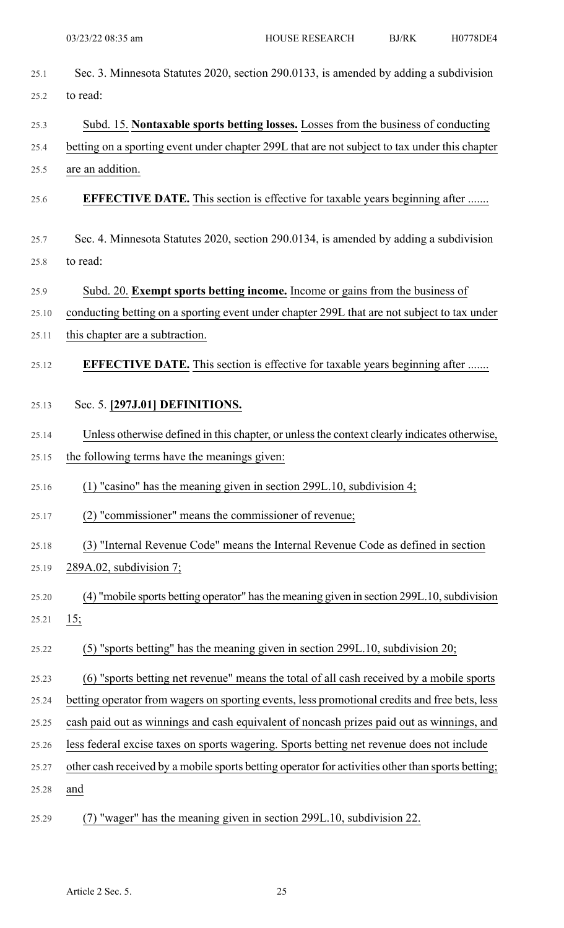| 25.1  | Sec. 3. Minnesota Statutes 2020, section 290.0133, is amended by adding a subdivision             |
|-------|---------------------------------------------------------------------------------------------------|
| 25.2  | to read:                                                                                          |
| 25.3  | Subd. 15. Nontaxable sports betting losses. Losses from the business of conducting                |
| 25.4  | betting on a sporting event under chapter 299L that are not subject to tax under this chapter     |
| 25.5  | are an addition.                                                                                  |
| 25.6  | <b>EFFECTIVE DATE.</b> This section is effective for taxable years beginning after                |
| 25.7  | Sec. 4. Minnesota Statutes 2020, section 290.0134, is amended by adding a subdivision             |
| 25.8  | to read:                                                                                          |
| 25.9  | Subd. 20. Exempt sports betting income. Income or gains from the business of                      |
| 25.10 | conducting betting on a sporting event under chapter 299L that are not subject to tax under       |
| 25.11 | this chapter are a subtraction.                                                                   |
| 25.12 | <b>EFFECTIVE DATE.</b> This section is effective for taxable years beginning after                |
| 25.13 | Sec. 5. [297J.01] DEFINITIONS.                                                                    |
| 25.14 | Unless otherwise defined in this chapter, or unless the context clearly indicates otherwise,      |
| 25.15 | the following terms have the meanings given:                                                      |
| 25.16 | $(1)$ "casino" has the meaning given in section 299L.10, subdivision 4;                           |
| 25.17 | (2) "commissioner" means the commissioner of revenue;                                             |
| 25.18 | (3) "Internal Revenue Code" means the Internal Revenue Code as defined in section                 |
| 25.19 | 289A.02, subdivision 7;                                                                           |
| 25.20 | (4) "mobile sports betting operator" has the meaning given in section 299L.10, subdivision        |
| 25.21 | 15:                                                                                               |
| 25.22 | (5) "sports betting" has the meaning given in section 299L.10, subdivision 20;                    |
| 25.23 | (6) "sports betting net revenue" means the total of all cash received by a mobile sports          |
| 25.24 | betting operator from wagers on sporting events, less promotional credits and free bets, less     |
| 25.25 | cash paid out as winnings and cash equivalent of noncash prizes paid out as winnings, and         |
| 25.26 | less federal excise taxes on sports wagering. Sports betting net revenue does not include         |
| 25.27 | other cash received by a mobile sports betting operator for activities other than sports betting; |
| 25.28 | and                                                                                               |
| 25.29 | (7) "wager" has the meaning given in section 299L.10, subdivision 22.                             |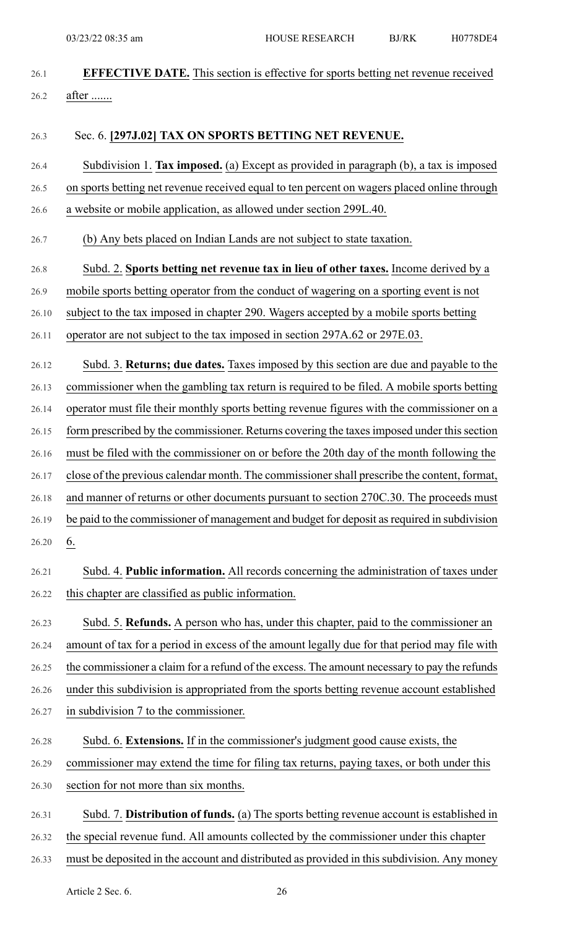- 26.1 **EFFECTIVE DATE.** This section is effective for sports betting net revenue received
- 26.2 after .......

# 26.3 Sec. 6. **[297J.02] TAX ON SPORTS BETTING NET REVENUE.**

- 26.4 Subdivision 1. **Tax imposed.** (a) Except as provided in paragraph (b), a tax is imposed 26.5 on sports betting net revenue received equal to ten percent on wagers placed online through
- 26.6 a website or mobile application, as allowed under section 299L.40.
- 26.7 (b) Any bets placed on Indian Lands are not subject to state taxation.
- 26.8 Subd. 2. **Sports betting net revenue tax in lieu of other taxes.** Income derived by a
- 26.9 mobile sports betting operator from the conduct of wagering on a sporting event is not
- 26.10 subject to the tax imposed in chapter 290. Wagers accepted by a mobile sports betting
- 26.11 operator are not subject to the tax imposed in section 297A.62 or 297E.03.
- 26.12 Subd. 3. **Returns; due dates.** Taxes imposed by this section are due and payable to the 26.13 commissioner when the gambling tax return is required to be filed. A mobile sports betting 26.14 operator must file their monthly sports betting revenue figures with the commissioner on a 26.15 form prescribed by the commissioner. Returns covering the taxes imposed under this section 26.16 must be filed with the commissioner on or before the 20th day of the month following the 26.17 close of the previous calendar month. The commissionershall prescribe the content, format, 26.18 and manner of returns or other documents pursuant to section 270C.30. The proceeds must 26.19 be paid to the commissioner of management and budget for deposit as required in subdivision
- 26.20  $6.$
- 26.21 Subd. 4. **Public information.** All records concerning the administration of taxes under 26.22 this chapter are classified as public information.
- 26.23 Subd. 5. **Refunds.** A person who has, under this chapter, paid to the commissioner an 26.24 amount of tax for a period in excess of the amount legally due for that period may file with 26.25 the commissioner a claim for a refund of the excess. The amount necessary to pay the refunds 26.26 under this subdivision is appropriated from the sports betting revenue account established 26.27 in subdivision 7 to the commissioner.
- 26.28 Subd. 6. **Extensions.** If in the commissioner's judgment good cause exists, the 26.29 commissioner may extend the time for filing tax returns, paying taxes, or both under this 26.30 section for not more than six months.
- 26.31 Subd. 7. **Distribution of funds.** (a) The sports betting revenue account is established in
- 26.32 the special revenue fund. All amounts collected by the commissioner under this chapter
- 26.33 must be deposited in the account and distributed as provided in this subdivision. Any money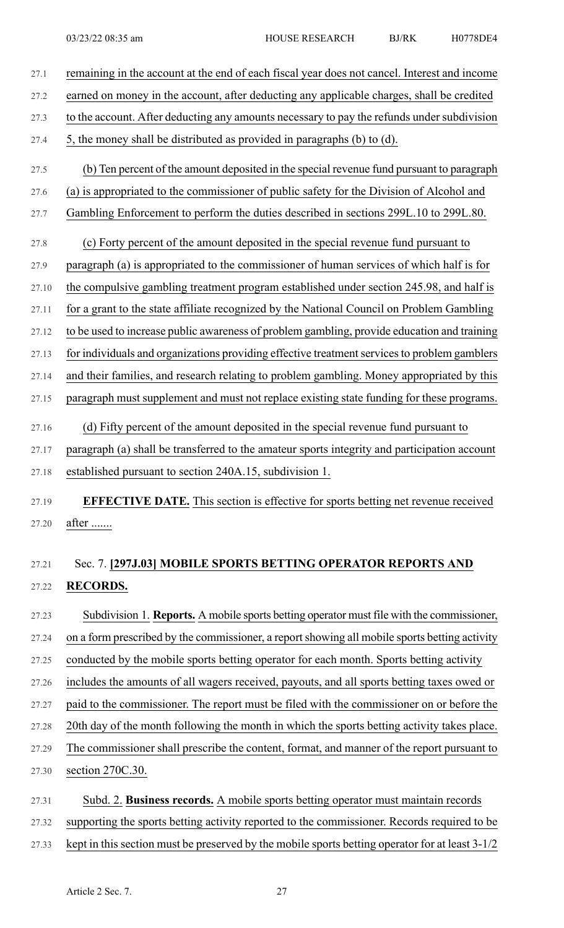- 27.1 remaining in the account at the end of each fiscal year does not cancel. Interest and income 27.2 earned on money in the account, after deducting any applicable charges, shall be credited 27.3 to the account. After deducting any amounts necessary to pay the refunds under subdivision 27.4 5, the money shall be distributed as provided in paragraphs (b) to (d). 27.5 (b) Ten percent of the amount deposited in the special revenue fund pursuant to paragraph 27.6 (a) is appropriated to the commissioner of public safety for the Division of Alcohol and 27.7 Gambling Enforcement to perform the duties described in sections 299L.10 to 299L.80. 27.8 (c) Forty percent of the amount deposited in the special revenue fund pursuant to 27.9 paragraph (a) is appropriated to the commissioner of human services of which half is for 27.10 the compulsive gambling treatment program established under section 245.98, and half is 27.11 for a grant to the state affiliate recognized by the National Council on Problem Gambling 27.12 to be used to increase public awareness of problem gambling, provide education and training 27.13 for individuals and organizations providing effective treatment services to problem gamblers 27.14 and their families, and research relating to problem gambling. Money appropriated by this 27.15 paragraph must supplement and must not replace existing state funding for these programs. 27.16 (d) Fifty percent of the amount deposited in the special revenue fund pursuant to 27.17 paragraph (a) shall be transferred to the amateur sports integrity and participation account 27.18 established pursuant to section 240A.15, subdivision 1. 27.19 **EFFECTIVE DATE.** This section is effective for sports betting net revenue received 27.20 after ....... 27.21 Sec. 7. **[297J.03] MOBILE SPORTS BETTING OPERATOR REPORTS AND** 27.22 **RECORDS.** 27.23 Subdivision 1. **Reports.** A mobile sports betting operator must file with the commissioner,
- 27.24 on a form prescribed by the commissioner, a report showing all mobile sports betting activity 27.25 conducted by the mobile sports betting operator for each month. Sports betting activity 27.26 includes the amounts of all wagers received, payouts, and all sports betting taxes owed or 27.27 paid to the commissioner. The report must be filed with the commissioner on or before the 27.28 20th day of the month following the month in which the sports betting activity takes place.
- 27.29 The commissioner shall prescribe the content, format, and manner of the report pursuant to 27.30 section 270C.30.
- 27.31 Subd. 2. **Business records.** A mobile sports betting operator must maintain records 27.32 supporting the sports betting activity reported to the commissioner. Records required to be 27.33 kept in this section must be preserved by the mobile sports betting operator for at least 3-1/2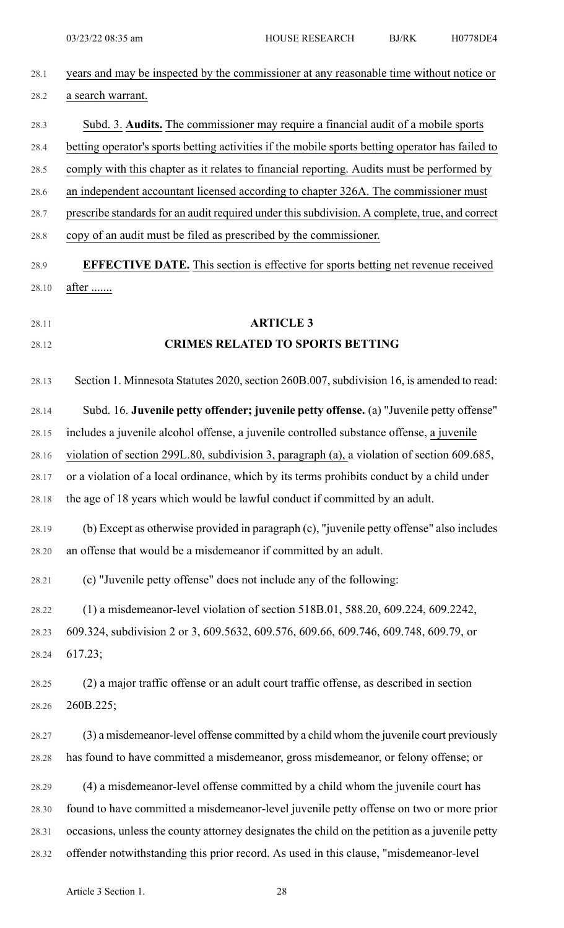| 28.1  | years and may be inspected by the commissioner at any reasonable time without notice or          |
|-------|--------------------------------------------------------------------------------------------------|
| 28.2  | a search warrant.                                                                                |
| 28.3  | Subd. 3. Audits. The commissioner may require a financial audit of a mobile sports               |
| 28.4  | betting operator's sports betting activities if the mobile sports betting operator has failed to |
| 28.5  | comply with this chapter as it relates to financial reporting. Audits must be performed by       |
| 28.6  | an independent accountant licensed according to chapter 326A. The commissioner must              |
| 28.7  | prescribe standards for an audit required under this subdivision. A complete, true, and correct  |
| 28.8  | copy of an audit must be filed as prescribed by the commissioner.                                |
| 28.9  | <b>EFFECTIVE DATE.</b> This section is effective for sports betting net revenue received         |
| 28.10 | after                                                                                            |
| 28.11 | <b>ARTICLE 3</b>                                                                                 |
| 28.12 | <b>CRIMES RELATED TO SPORTS BETTING</b>                                                          |
|       |                                                                                                  |
| 28.13 | Section 1. Minnesota Statutes 2020, section 260B.007, subdivision 16, is amended to read:        |
| 28.14 | Subd. 16. Juvenile petty offender; juvenile petty offense. (a) "Juvenile petty offense"          |
| 28.15 | includes a juvenile alcohol offense, a juvenile controlled substance offense, a juvenile         |
| 28.16 | violation of section 299L.80, subdivision 3, paragraph (a), a violation of section 609.685,      |
| 28.17 | or a violation of a local ordinance, which by its terms prohibits conduct by a child under       |
| 28.18 | the age of 18 years which would be lawful conduct if committed by an adult.                      |
| 28.19 | (b) Except as otherwise provided in paragraph (c), "juvenile petty offense" also includes        |
| 28.20 | an offense that would be a misdemeanor if committed by an adult.                                 |
| 28.21 | (c) "Juvenile petty offense" does not include any of the following:                              |
| 28.22 | (1) a misdemeanor-level violation of section 518B.01, 588.20, 609.224, 609.2242,                 |
| 28.23 | 609.324, subdivision 2 or 3, 609.5632, 609.576, 609.66, 609.746, 609.748, 609.79, or             |
| 28.24 | 617.23;                                                                                          |
| 28.25 | (2) a major traffic offense or an adult court traffic offense, as described in section           |
| 28.26 | 260B.225;                                                                                        |
| 28.27 | (3) a misdemeanor-level offense committed by a child whom the juvenile court previously          |
| 28.28 | has found to have committed a misdemeanor, gross misdemeanor, or felony offense; or              |
| 28.29 | (4) a misdemeanor-level offense committed by a child whom the juvenile court has                 |
| 28.30 | found to have committed a misdemeanor-level juvenile petty offense on two or more prior          |
| 28.31 | occasions, unless the county attorney designates the child on the petition as a juvenile petty   |
| 28.32 | offender notwithstanding this prior record. As used in this clause, "misdemeanor-level           |
|       |                                                                                                  |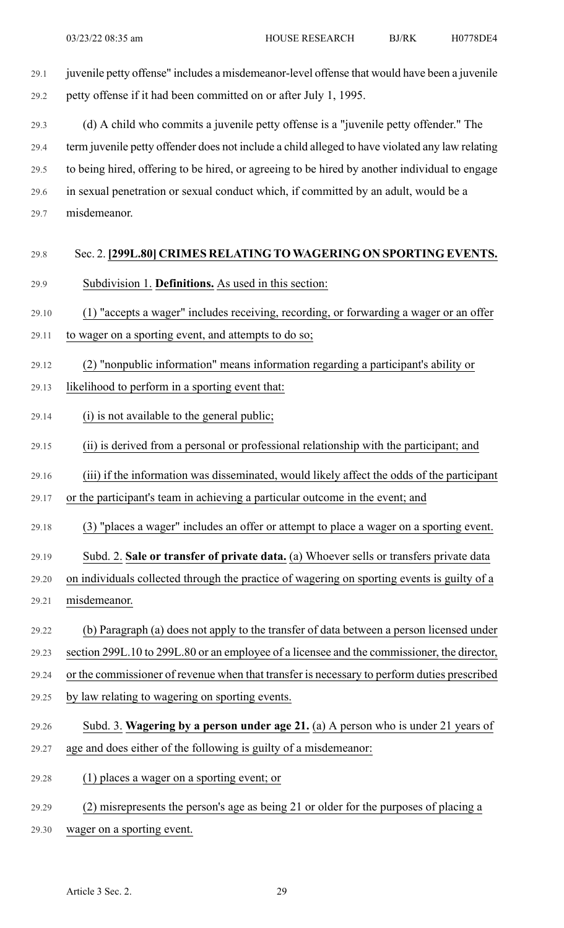29.1 juvenile petty offense" includes a misdemeanor-level offense that would have been a juvenile 29.2 petty offense if it had been committed on or after July 1, 1995.

29.3 (d) A child who commits a juvenile petty offense is a "juvenile petty offender." The 29.4 term juvenile petty offender does not include a child alleged to have violated any law relating 29.5 to being hired, offering to be hired, or agreeing to be hired by another individual to engage 29.6 in sexual penetration or sexual conduct which, if committed by an adult, would be a 29.7 misdemeanor.

## 29.8 Sec. 2. **[299L.80] CRIMES RELATING TO WAGERING ON SPORTING EVENTS.**

- 29.9 Subdivision 1. **Definitions.** As used in this section:
- 29.10 (1) "accepts a wager" includes receiving, recording, or forwarding a wager or an offer
- 29.11 to wager on a sporting event, and attempts to do so;
- 29.12 (2) "nonpublic information" means information regarding a participant's ability or
- 29.13 likelihood to perform in a sporting event that:
- 29.14 (i) is not available to the general public;
- 29.15 (ii) is derived from a personal or professional relationship with the participant; and
- 29.16 (iii) if the information was disseminated, would likely affect the odds of the participant
- 29.17 or the participant's team in achieving a particular outcome in the event; and
- 29.18 (3) "places a wager" includes an offer or attempt to place a wager on a sporting event.
- 29.19 Subd. 2. **Sale or transfer of private data.** (a) Whoever sells or transfers private data
- 29.20 on individuals collected through the practice of wagering on sporting events is guilty of a
- 29.21 misdemeanor.
- 29.22 (b) Paragraph (a) does not apply to the transfer of data between a person licensed under
- 29.23 section 299L.10 to 299L.80 or an employee of a licensee and the commissioner, the director,
- 29.24 or the commissioner of revenue when that transfer is necessary to perform duties prescribed
- 29.25 by law relating to wagering on sporting events.
- 29.26 Subd. 3. **Wagering by a person under age 21.** (a) A person who is under 21 years of 29.27 age and does either of the following is guilty of a misdemeanor:
- 
- 29.28 (1) places a wager on a sporting event; or
- 29.29 (2) misrepresents the person's age as being 21 or older for the purposes of placing a
- 29.30 wager on a sporting event.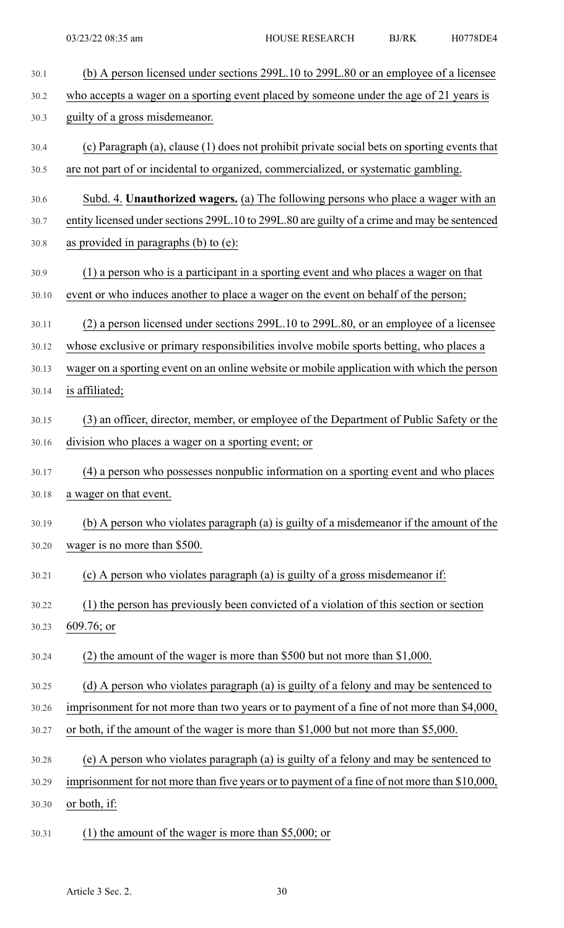| 30.1  | (b) A person licensed under sections 299L.10 to 299L.80 or an employee of a licensee         |
|-------|----------------------------------------------------------------------------------------------|
| 30.2  | who accepts a wager on a sporting event placed by someone under the age of 21 years is       |
| 30.3  | guilty of a gross misdemeanor.                                                               |
| 30.4  | (c) Paragraph (a), clause (1) does not prohibit private social bets on sporting events that  |
| 30.5  | are not part of or incidental to organized, commercialized, or systematic gambling.          |
| 30.6  | Subd. 4. Unauthorized wagers. (a) The following persons who place a wager with an            |
| 30.7  | entity licensed under sections 299L.10 to 299L.80 are guilty of a crime and may be sentenced |
| 30.8  | as provided in paragraphs $(b)$ to $(e)$ :                                                   |
| 30.9  | (1) a person who is a participant in a sporting event and who places a wager on that         |
| 30.10 | event or who induces another to place a wager on the event on behalf of the person;          |
| 30.11 | (2) a person licensed under sections 299L.10 to 299L.80, or an employee of a licensee        |
| 30.12 | whose exclusive or primary responsibilities involve mobile sports betting, who places a      |
| 30.13 | wager on a sporting event on an online website or mobile application with which the person   |
| 30.14 | is affiliated;                                                                               |
| 30.15 | (3) an officer, director, member, or employee of the Department of Public Safety or the      |
| 30.16 | division who places a wager on a sporting event; or                                          |
| 30.17 | (4) a person who possesses nonpublic information on a sporting event and who places          |
| 30.18 | a wager on that event.                                                                       |
| 30.19 | (b) A person who violates paragraph (a) is guilty of a misdemeanor if the amount of the      |
| 30.20 | wager is no more than \$500.                                                                 |
| 30.21 | (c) A person who violates paragraph (a) is guilty of a gross misdemeanor if:                 |
| 30.22 | (1) the person has previously been convicted of a violation of this section or section       |
| 30.23 | $609.76$ ; or                                                                                |
| 30.24 | (2) the amount of the wager is more than \$500 but not more than $$1,000$ .                  |
| 30.25 | (d) A person who violates paragraph (a) is guilty of a felony and may be sentenced to        |
| 30.26 | imprisonment for not more than two years or to payment of a fine of not more than \$4,000,   |
| 30.27 | or both, if the amount of the wager is more than \$1,000 but not more than \$5,000.          |
| 30.28 | (e) A person who violates paragraph (a) is guilty of a felony and may be sentenced to        |
| 30.29 | imprisonment for not more than five years or to payment of a fine of not more than \$10,000, |
| 30.30 | or both, if:                                                                                 |
| 30.31 | (1) the amount of the wager is more than \$5,000; or                                         |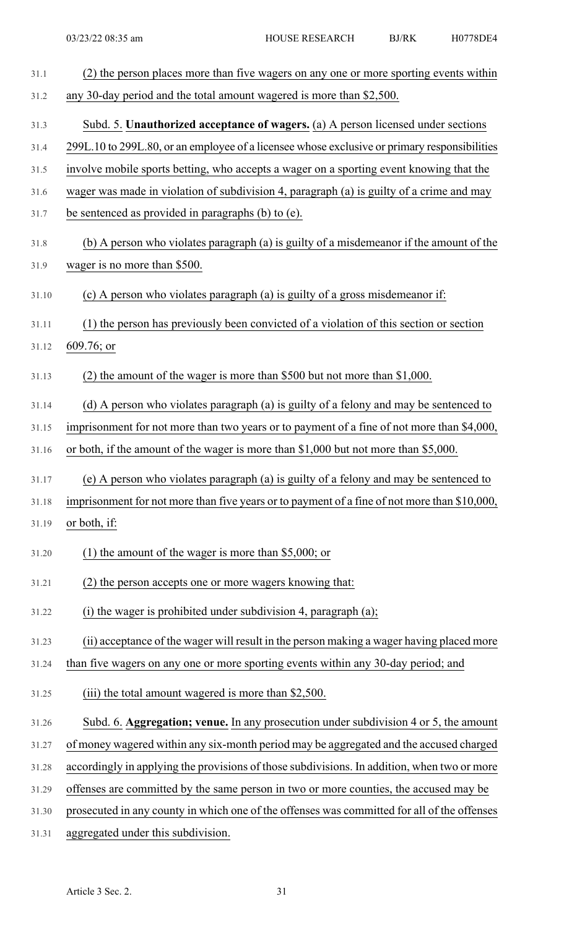| 31.1  | (2) the person places more than five wagers on any one or more sporting events within        |
|-------|----------------------------------------------------------------------------------------------|
| 31.2  | any 30-day period and the total amount wagered is more than \$2,500.                         |
| 31.3  | Subd. 5. Unauthorized acceptance of wagers. (a) A person licensed under sections             |
| 31.4  | 299L.10 to 299L.80, or an employee of a licensee whose exclusive or primary responsibilities |
| 31.5  | involve mobile sports betting, who accepts a wager on a sporting event knowing that the      |
| 31.6  | wager was made in violation of subdivision 4, paragraph (a) is guilty of a crime and may     |
| 31.7  | be sentenced as provided in paragraphs (b) to (e).                                           |
| 31.8  | (b) A person who violates paragraph (a) is guilty of a misdemeanor if the amount of the      |
| 31.9  | wager is no more than \$500.                                                                 |
| 31.10 | (c) A person who violates paragraph (a) is guilty of a gross misdemeanor if:                 |
| 31.11 | (1) the person has previously been convicted of a violation of this section or section       |
| 31.12 | $609.76$ ; or                                                                                |
| 31.13 | (2) the amount of the wager is more than \$500 but not more than $$1,000$ .                  |
| 31.14 | (d) A person who violates paragraph (a) is guilty of a felony and may be sentenced to        |
| 31.15 | imprisonment for not more than two years or to payment of a fine of not more than \$4,000,   |
| 31.16 | or both, if the amount of the wager is more than \$1,000 but not more than \$5,000.          |
| 31.17 | (e) A person who violates paragraph (a) is guilty of a felony and may be sentenced to        |
| 31.18 | imprisonment for not more than five years or to payment of a fine of not more than \$10,000, |
| 31.19 | or both, if:                                                                                 |
| 31.20 | (1) the amount of the wager is more than $$5,000$ ; or                                       |
| 31.21 | (2) the person accepts one or more wagers knowing that:                                      |
| 31.22 | (i) the wager is prohibited under subdivision 4, paragraph (a);                              |
| 31.23 | (ii) acceptance of the wager will result in the person making a wager having placed more     |
| 31.24 | than five wagers on any one or more sporting events within any 30-day period; and            |
| 31.25 | (iii) the total amount wagered is more than \$2,500.                                         |
| 31.26 | Subd. 6. Aggregation; venue. In any prosecution under subdivision 4 or 5, the amount         |
| 31.27 | of money wagered within any six-month period may be aggregated and the accused charged       |
| 31.28 | accordingly in applying the provisions of those subdivisions. In addition, when two or more  |
| 31.29 | offenses are committed by the same person in two or more counties, the accused may be        |
| 31.30 | prosecuted in any county in which one of the offenses was committed for all of the offenses  |
|       |                                                                                              |

31.31 aggregated under this subdivision.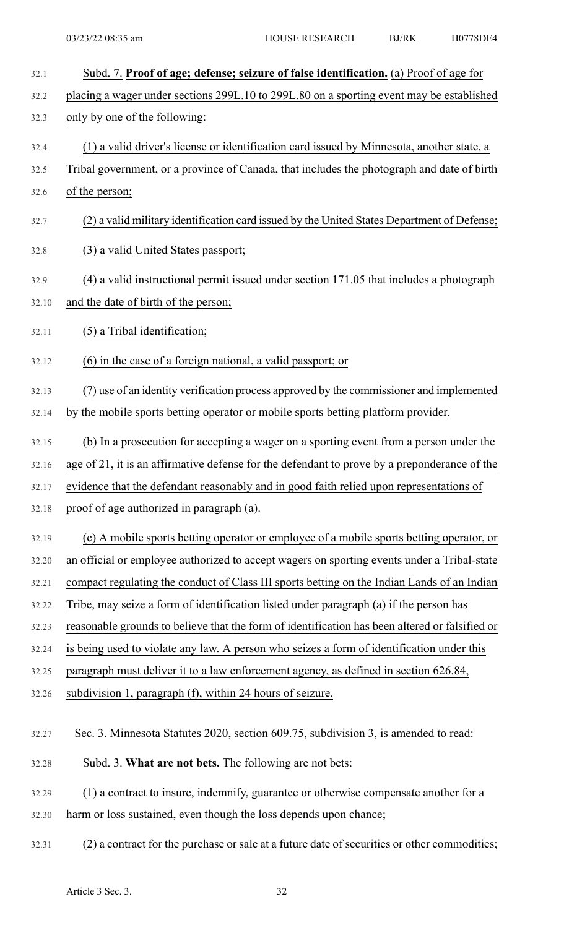| 32.1  | Subd. 7. Proof of age; defense; seizure of false identification. (a) Proof of age for          |
|-------|------------------------------------------------------------------------------------------------|
| 32.2  | placing a wager under sections 299L.10 to 299L.80 on a sporting event may be established       |
| 32.3  | only by one of the following:                                                                  |
| 32.4  | (1) a valid driver's license or identification card issued by Minnesota, another state, a      |
| 32.5  | Tribal government, or a province of Canada, that includes the photograph and date of birth     |
| 32.6  | of the person;                                                                                 |
| 32.7  | (2) a valid military identification card issued by the United States Department of Defense;    |
| 32.8  | (3) a valid United States passport;                                                            |
| 32.9  | (4) a valid instructional permit issued under section 171.05 that includes a photograph        |
| 32.10 | and the date of birth of the person;                                                           |
| 32.11 | (5) a Tribal identification;                                                                   |
| 32.12 | (6) in the case of a foreign national, a valid passport; or                                    |
| 32.13 | (7) use of an identity verification process approved by the commissioner and implemented       |
| 32.14 | by the mobile sports betting operator or mobile sports betting platform provider.              |
| 32.15 | (b) In a prosecution for accepting a wager on a sporting event from a person under the         |
| 32.16 | age of 21, it is an affirmative defense for the defendant to prove by a preponderance of the   |
| 32.17 | evidence that the defendant reasonably and in good faith relied upon representations of        |
| 32.18 | proof of age authorized in paragraph (a).                                                      |
| 32.19 | (c) A mobile sports betting operator or employee of a mobile sports betting operator, or       |
| 32.20 | an official or employee authorized to accept wagers on sporting events under a Tribal-state    |
| 32.21 | compact regulating the conduct of Class III sports betting on the Indian Lands of an Indian    |
| 32.22 | Tribe, may seize a form of identification listed under paragraph (a) if the person has         |
| 32.23 | reasonable grounds to believe that the form of identification has been altered or falsified or |
| 32.24 | is being used to violate any law. A person who seizes a form of identification under this      |
| 32.25 | paragraph must deliver it to a law enforcement agency, as defined in section 626.84,           |
| 32.26 | subdivision 1, paragraph (f), within 24 hours of seizure.                                      |
| 32.27 | Sec. 3. Minnesota Statutes 2020, section 609.75, subdivision 3, is amended to read:            |
| 32.28 | Subd. 3. What are not bets. The following are not bets:                                        |
| 32.29 | (1) a contract to insure, indemnify, guarantee or otherwise compensate another for a           |
| 32.30 | harm or loss sustained, even though the loss depends upon chance;                              |
| 32.31 | (2) a contract for the purchase or sale at a future date of securities or other commodities;   |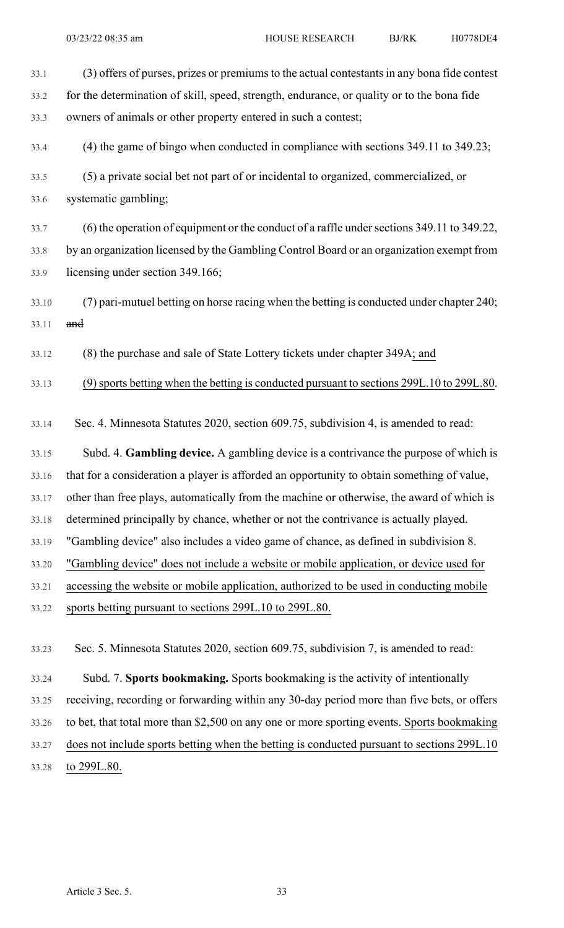33.1 (3) offers of purses, prizes or premiums to the actual contestants in any bona fide contest 33.2 for the determination of skill, speed, strength, endurance, or quality or to the bona fide 33.3 owners of animals or other property entered in such a contest; 33.4 (4) the game of bingo when conducted in compliance with sections 349.11 to 349.23; 33.5 (5) a private social bet not part of or incidental to organized, commercialized, or 33.6 systematic gambling;

33.7 (6) the operation of equipment or the conduct of a raffle undersections 349.11 to 349.22, 33.8 by an organization licensed by the Gambling Control Board or an organization exempt from 33.9 licensing under section 349.166;

33.10 (7) pari-mutuel betting on horse racing when the betting is conducted under chapter 240; 33.11 and

33.12 (8) the purchase and sale of State Lottery tickets under chapter 349A; and

33.13 (9)sports betting when the betting is conducted pursuant to sections 299L.10 to 299L.80.

33.14 Sec. 4. Minnesota Statutes 2020, section 609.75, subdivision 4, is amended to read:

33.15 Subd. 4. **Gambling device.** A gambling device is a contrivance the purpose of which is 33.16 that for a consideration a player is afforded an opportunity to obtain something of value,

33.17 other than free plays, automatically from the machine or otherwise, the award of which is

33.18 determined principally by chance, whether or not the contrivance is actually played.

33.19 "Gambling device" also includes a video game of chance, as defined in subdivision 8.

33.20 "Gambling device" does not include a website or mobile application, or device used for

- 33.21 accessing the website or mobile application, authorized to be used in conducting mobile
- 33.22 sports betting pursuant to sections 299L.10 to 299L.80.

33.23 Sec. 5. Minnesota Statutes 2020, section 609.75, subdivision 7, is amended to read:

33.24 Subd. 7. **Sports bookmaking.** Sports bookmaking is the activity of intentionally 33.25 receiving, recording or forwarding within any 30-day period more than five bets, or offers 33.26 to bet, that total more than \$2,500 on any one or more sporting events. Sports bookmaking 33.27 does not include sports betting when the betting is conducted pursuant to sections 299L.10 33.28 to 299L.80.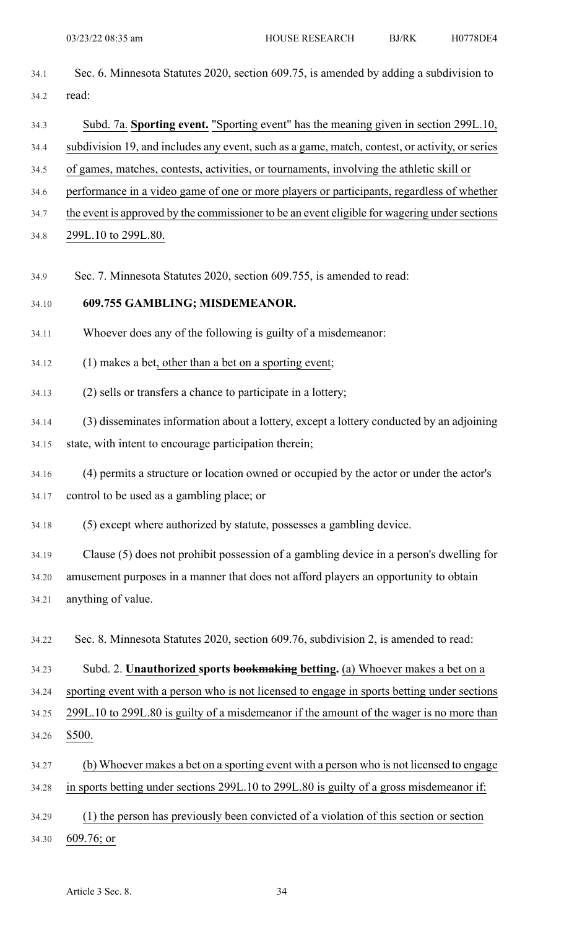| 34.1  | Sec. 6. Minnesota Statutes 2020, section 609.75, is amended by adding a subdivision to         |
|-------|------------------------------------------------------------------------------------------------|
| 34.2  | read:                                                                                          |
| 34.3  | Subd. 7a. Sporting event. "Sporting event" has the meaning given in section 299L.10,           |
| 34.4  | subdivision 19, and includes any event, such as a game, match, contest, or activity, or series |
| 34.5  | of games, matches, contests, activities, or tournaments, involving the athletic skill or       |
| 34.6  | performance in a video game of one or more players or participants, regardless of whether      |
| 34.7  | the event is approved by the commissioner to be an event eligible for wagering under sections  |
| 34.8  | 299L.10 to 299L.80.                                                                            |
| 34.9  | Sec. 7. Minnesota Statutes 2020, section 609.755, is amended to read:                          |
| 34.10 | 609.755 GAMBLING; MISDEMEANOR.                                                                 |
| 34.11 | Whoever does any of the following is guilty of a misdemeanor:                                  |
| 34.12 | (1) makes a bet, other than a bet on a sporting event;                                         |
| 34.13 | (2) sells or transfers a chance to participate in a lottery;                                   |
| 34.14 | (3) disseminates information about a lottery, except a lottery conducted by an adjoining       |
| 34.15 | state, with intent to encourage participation therein;                                         |
| 34.16 | (4) permits a structure or location owned or occupied by the actor or under the actor's        |
| 34.17 | control to be used as a gambling place; or                                                     |
| 34.18 | (5) except where authorized by statute, possesses a gambling device.                           |
| 34.19 | Clause (5) does not prohibit possession of a gambling device in a person's dwelling for        |
| 34.20 | amusement purposes in a manner that does not afford players an opportunity to obtain           |
| 34.21 | anything of value.                                                                             |
| 34.22 | Sec. 8. Minnesota Statutes 2020, section 609.76, subdivision 2, is amended to read:            |
| 34.23 | Subd. 2. Unauthorized sports bookmaking betting. (a) Whoever makes a bet on a                  |
| 34.24 | sporting event with a person who is not licensed to engage in sports betting under sections    |
| 34.25 | 299L.10 to 299L.80 is guilty of a misdemeanor if the amount of the wager is no more than       |
| 34.26 | \$500.                                                                                         |
| 34.27 | (b) Whoever makes a bet on a sporting event with a person who is not licensed to engage        |
| 34.28 | in sports betting under sections 299L.10 to 299L.80 is guilty of a gross misdemeanor if:       |
| 34.29 | (1) the person has previously been convicted of a violation of this section or section         |

34.30 609.76; or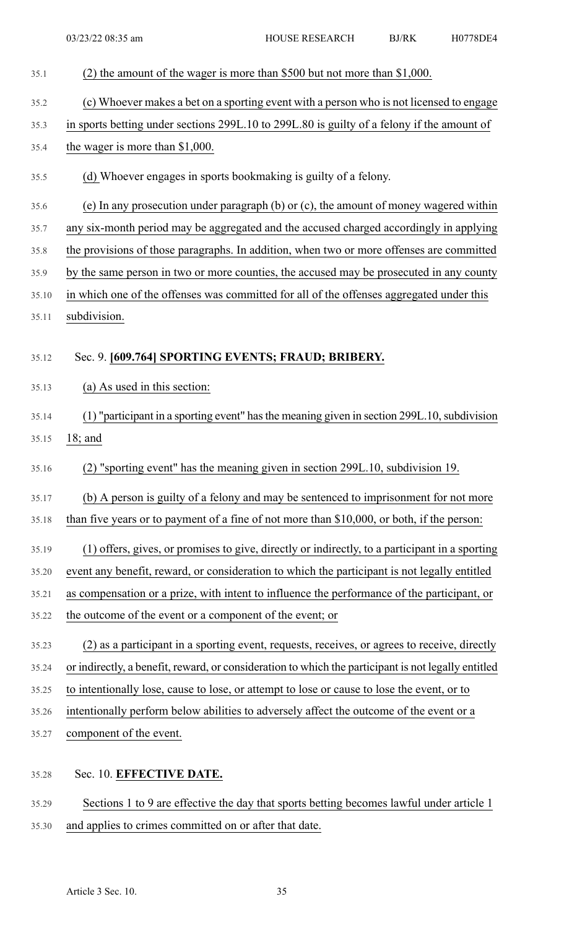| 35.1  | (2) the amount of the wager is more than \$500 but not more than \$1,000.                           |
|-------|-----------------------------------------------------------------------------------------------------|
| 35.2  | (c) Whoever makes a bet on a sporting event with a person who is not licensed to engage             |
| 35.3  | in sports betting under sections 299L.10 to 299L.80 is guilty of a felony if the amount of          |
| 35.4  | the wager is more than $$1,000$ .                                                                   |
| 35.5  | (d) Whoever engages in sports bookmaking is guilty of a felony.                                     |
| 35.6  | (e) In any prosecution under paragraph $(b)$ or $(c)$ , the amount of money wagered within          |
| 35.7  | any six-month period may be aggregated and the accused charged accordingly in applying              |
| 35.8  | the provisions of those paragraphs. In addition, when two or more offenses are committed            |
| 35.9  | by the same person in two or more counties, the accused may be prosecuted in any county             |
| 35.10 | in which one of the offenses was committed for all of the offenses aggregated under this            |
| 35.11 | subdivision.                                                                                        |
|       |                                                                                                     |
| 35.12 | Sec. 9. [609.764] SPORTING EVENTS; FRAUD; BRIBERY.                                                  |
| 35.13 | (a) As used in this section:                                                                        |
| 35.14 | (1) "participant in a sporting event" has the meaning given in section 299L.10, subdivision         |
| 35.15 | $18;$ and                                                                                           |
| 35.16 | (2) "sporting event" has the meaning given in section 299L.10, subdivision 19.                      |
| 35.17 | (b) A person is guilty of a felony and may be sentenced to imprisonment for not more                |
| 35.18 | than five years or to payment of a fine of not more than \$10,000, or both, if the person:          |
| 35.19 | (1) offers, gives, or promises to give, directly or indirectly, to a participant in a sporting      |
| 35.20 | event any benefit, reward, or consideration to which the participant is not legally entitled        |
| 35.21 | as compensation or a prize, with intent to influence the performance of the participant, or         |
| 35.22 | the outcome of the event or a component of the event; or                                            |
| 35.23 | (2) as a participant in a sporting event, requests, receives, or agrees to receive, directly        |
| 35.24 | or indirectly, a benefit, reward, or consideration to which the participant is not legally entitled |
| 35.25 | to intentionally lose, cause to lose, or attempt to lose or cause to lose the event, or to          |
| 35.26 | intentionally perform below abilities to adversely affect the outcome of the event or a             |
| 35.27 | component of the event.                                                                             |
|       |                                                                                                     |
| 35.28 | Sec. 10. EFFECTIVE DATE.                                                                            |
| 35.29 | Sections 1 to 9 are effective the day that sports betting becomes lawful under article 1            |

35.30 and applies to crimes committed on or after that date.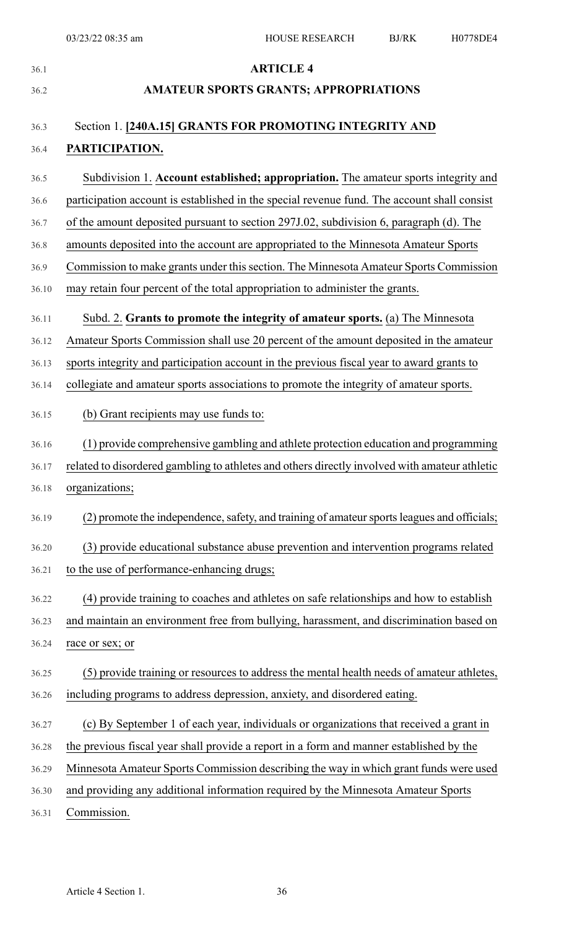| 36.1  | <b>ARTICLE 4</b>                                                                              |
|-------|-----------------------------------------------------------------------------------------------|
| 36.2  | <b>AMATEUR SPORTS GRANTS; APPROPRIATIONS</b>                                                  |
|       |                                                                                               |
| 36.3  | Section 1. [240A.15] GRANTS FOR PROMOTING INTEGRITY AND                                       |
| 36.4  | PARTICIPATION.                                                                                |
| 36.5  | Subdivision 1. Account established; appropriation. The amateur sports integrity and           |
| 36.6  | participation account is established in the special revenue fund. The account shall consist   |
| 36.7  | of the amount deposited pursuant to section 297J.02, subdivision 6, paragraph (d). The        |
| 36.8  | amounts deposited into the account are appropriated to the Minnesota Amateur Sports           |
| 36.9  | Commission to make grants under this section. The Minnesota Amateur Sports Commission         |
| 36.10 | may retain four percent of the total appropriation to administer the grants.                  |
| 36.11 | Subd. 2. Grants to promote the integrity of amateur sports. (a) The Minnesota                 |
| 36.12 | Amateur Sports Commission shall use 20 percent of the amount deposited in the amateur         |
| 36.13 | sports integrity and participation account in the previous fiscal year to award grants to     |
| 36.14 | collegiate and amateur sports associations to promote the integrity of amateur sports.        |
| 36.15 | (b) Grant recipients may use funds to:                                                        |
|       |                                                                                               |
| 36.16 | (1) provide comprehensive gambling and athlete protection education and programming           |
| 36.17 | related to disordered gambling to athletes and others directly involved with amateur athletic |
| 36.18 | organizations;                                                                                |
| 36.19 | (2) promote the independence, safety, and training of amateur sports leagues and officials;   |
| 36.20 | (3) provide educational substance abuse prevention and intervention programs related          |
| 36.21 | to the use of performance-enhancing drugs;                                                    |
| 36.22 | (4) provide training to coaches and athletes on safe relationships and how to establish       |
| 36.23 | and maintain an environment free from bullying, harassment, and discrimination based on       |
| 36.24 | race or sex; or                                                                               |
| 36.25 | (5) provide training or resources to address the mental health needs of amateur athletes,     |
| 36.26 | including programs to address depression, anxiety, and disordered eating.                     |
| 36.27 | (c) By September 1 of each year, individuals or organizations that received a grant in        |
| 36.28 | the previous fiscal year shall provide a report in a form and manner established by the       |
| 36.29 | Minnesota Amateur Sports Commission describing the way in which grant funds were used         |
| 36.30 | and providing any additional information required by the Minnesota Amateur Sports             |
| 36.31 | Commission.                                                                                   |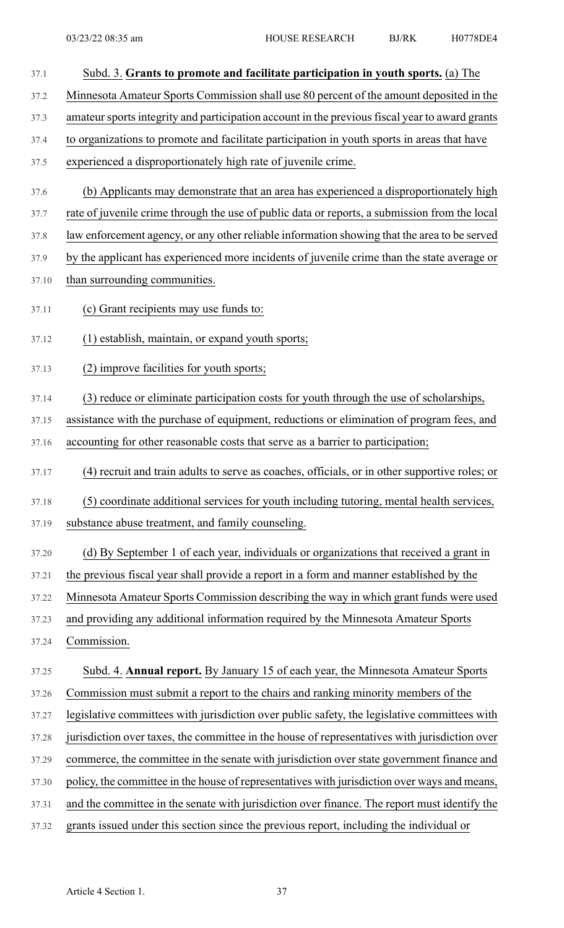- 37.1 Subd. 3. **Grants to promote and facilitate participation in youth sports.** (a) The 37.2 Minnesota Amateur Sports Commission shall use 80 percent of the amount deposited in the 37.3 amateur sports integrity and participation account in the previous fiscal year to award grants 37.4 to organizations to promote and facilitate participation in youth sports in areas that have 37.5 experienced a disproportionately high rate of juvenile crime. 37.6 (b) Applicants may demonstrate that an area has experienced a disproportionately high 37.7 rate of juvenile crime through the use of public data or reports, a submission from the local 37.8 law enforcement agency, or any other reliable information showing that the area to be served 37.9 by the applicant has experienced more incidents of juvenile crime than the state average or 37.10 than surrounding communities. 37.11 (c) Grant recipients may use funds to: 37.12 (1) establish, maintain, or expand youth sports; 37.13 (2) improve facilities for youth sports; 37.14 (3) reduce or eliminate participation costs for youth through the use of scholarships, 37.15 assistance with the purchase of equipment, reductions or elimination of program fees, and 37.16 accounting for other reasonable costs that serve as a barrier to participation; 37.17 (4) recruit and train adults to serve as coaches, officials, or in other supportive roles; or 37.18 (5) coordinate additional services for youth including tutoring, mental health services, 37.19 substance abuse treatment, and family counseling. 37.20 (d) By September 1 of each year, individuals or organizations that received a grant in 37.21 the previous fiscal year shall provide a report in a form and manner established by the 37.22 Minnesota Amateur Sports Commission describing the way in which grant funds were used 37.23 and providing any additional information required by the Minnesota Amateur Sports 37.24 Commission. 37.25 Subd. 4. **Annual report.** By January 15 of each year, the Minnesota Amateur Sports 37.26 Commission must submit a report to the chairs and ranking minority members of the 37.27 legislative committees with jurisdiction over public safety, the legislative committees with 37.28 jurisdiction over taxes, the committee in the house of representatives with jurisdiction over 37.29 commerce, the committee in the senate with jurisdiction over state government finance and 37.30 policy, the committee in the house of representatives with jurisdiction over ways and means, 37.31 and the committee in the senate with jurisdiction over finance. The report must identify the 37.32 grants issued under this section since the previous report, including the individual or
	- Article 4 Section 1. 37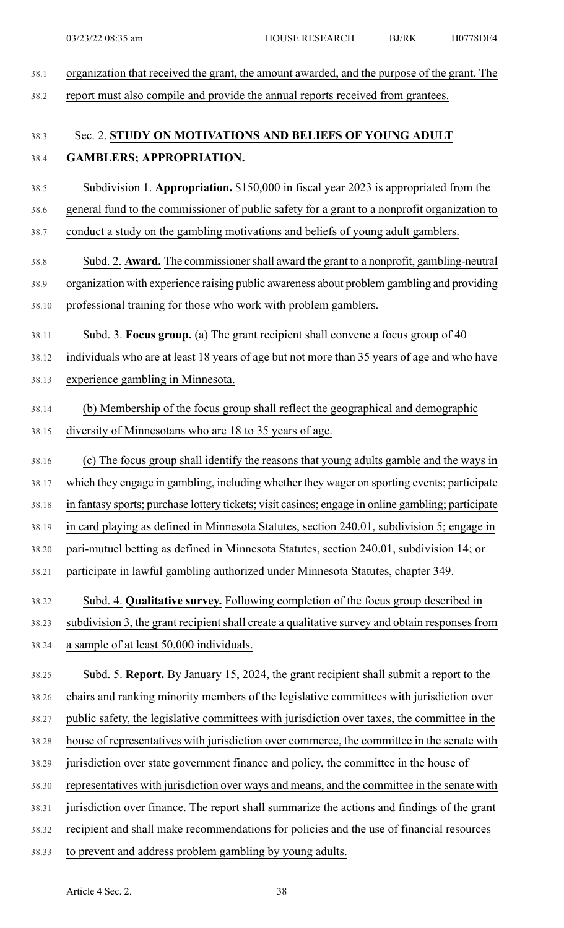| 38.1  | organization that received the grant, the amount awarded, and the purpose of the grant. The        |
|-------|----------------------------------------------------------------------------------------------------|
| 38.2  | report must also compile and provide the annual reports received from grantees.                    |
| 38.3  | Sec. 2. STUDY ON MOTIVATIONS AND BELIEFS OF YOUNG ADULT                                            |
| 38.4  | <b>GAMBLERS; APPROPRIATION.</b>                                                                    |
| 38.5  | Subdivision 1. Appropriation. \$150,000 in fiscal year 2023 is appropriated from the               |
| 38.6  | general fund to the commissioner of public safety for a grant to a nonprofit organization to       |
| 38.7  | conduct a study on the gambling motivations and beliefs of young adult gamblers.                   |
| 38.8  | Subd. 2. Award. The commissioner shall award the grant to a nonprofit, gambling-neutral            |
| 38.9  | organization with experience raising public awareness about problem gambling and providing         |
| 38.10 | professional training for those who work with problem gamblers.                                    |
| 38.11 | Subd. 3. Focus group. (a) The grant recipient shall convene a focus group of 40                    |
| 38.12 | individuals who are at least 18 years of age but not more than 35 years of age and who have        |
| 38.13 | experience gambling in Minnesota.                                                                  |
| 38.14 | (b) Membership of the focus group shall reflect the geographical and demographic                   |
| 38.15 | diversity of Minnesotans who are 18 to 35 years of age.                                            |
| 38.16 | (c) The focus group shall identify the reasons that young adults gamble and the ways in            |
| 38.17 | which they engage in gambling, including whether they wager on sporting events; participate        |
| 38.18 | in fantasy sports; purchase lottery tickets; visit casinos; engage in online gambling; participate |
| 38.19 | in card playing as defined in Minnesota Statutes, section 240.01, subdivision 5; engage in         |
| 38.20 | pari-mutuel betting as defined in Minnesota Statutes, section 240.01, subdivision 14; or           |
| 38.21 | participate in lawful gambling authorized under Minnesota Statutes, chapter 349.                   |
| 38.22 | Subd. 4. Qualitative survey. Following completion of the focus group described in                  |
| 38.23 | subdivision 3, the grant recipient shall create a qualitative survey and obtain responses from     |
| 38.24 | a sample of at least 50,000 individuals.                                                           |
| 38.25 | Subd. 5. Report. By January 15, 2024, the grant recipient shall submit a report to the             |
| 38.26 | chairs and ranking minority members of the legislative committees with jurisdiction over           |
| 38.27 | public safety, the legislative committees with jurisdiction over taxes, the committee in the       |
| 38.28 | house of representatives with jurisdiction over commerce, the committee in the senate with         |
| 38.29 | jurisdiction over state government finance and policy, the committee in the house of               |
| 38.30 | representatives with jurisdiction over ways and means, and the committee in the senate with        |
| 38.31 | jurisdiction over finance. The report shall summarize the actions and findings of the grant        |
| 38.32 | recipient and shall make recommendations for policies and the use of financial resources           |
| 38.33 | to prevent and address problem gambling by young adults.                                           |